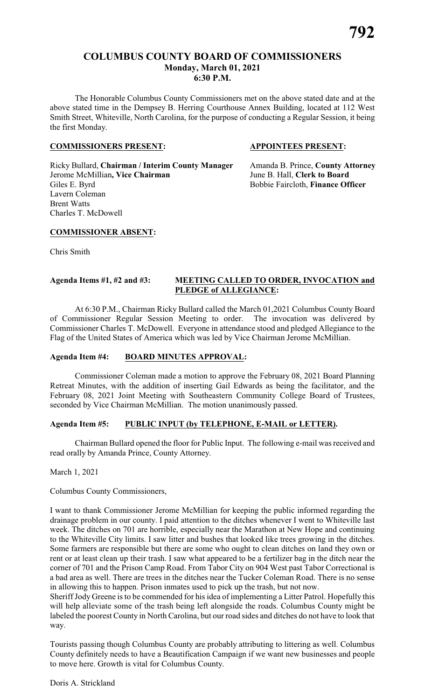# **COLUMBUS COUNTY BOARD OF COMMISSIONERS Monday, March 01, 2021 6:30 P.M.**

The Honorable Columbus County Commissioners met on the above stated date and at the above stated time in the Dempsey B. Herring Courthouse Annex Building, located at 112 West Smith Street, Whiteville, North Carolina, for the purpose of conducting a Regular Session, it being the first Monday.

#### **COMMISSIONERS PRESENT: APPOINTEES PRESENT:**

Ricky Bullard, **Chairman / Interim County Manager** Amanda B. Prince, **County Attorney** Jerome McMillian**, Vice Chairman** June B. Hall, **Clerk to Board** Giles E. Byrd **Bobbie Faircloth, Finance Officer** Lavern Coleman Brent Watts Charles T. McDowell

#### **COMMISSIONER ABSENT:**

Chris Smith

#### **Agenda Items #1, #2 and #3: MEETING CALLED TO ORDER, INVOCATION and PLEDGE of ALLEGIANCE:**

At 6:30 P.M., Chairman Ricky Bullard called the March 01,2021 Columbus County Board of Commissioner Regular Session Meeting to order. The invocation was delivered by Commissioner Charles T. McDowell. Everyone in attendance stood and pledged Allegiance to the Flag of the United States of America which was led by Vice Chairman Jerome McMillian.

#### **Agenda Item #4: BOARD MINUTES APPROVAL:**

Commissioner Coleman made a motion to approve the February 08, 2021 Board Planning Retreat Minutes, with the addition of inserting Gail Edwards as being the facilitator, and the February 08, 2021 Joint Meeting with Southeastern Community College Board of Trustees, seconded by Vice Chairman McMillian. The motion unanimously passed.

#### **Agenda Item #5: PUBLIC INPUT (by TELEPHONE, E-MAIL or LETTER).**

Chairman Bullard opened the floor for Public Input. The following e-mail was received and read orally by Amanda Prince, County Attorney.

March 1, 2021

Columbus County Commissioners,

I want to thank Commissioner Jerome McMillian for keeping the public informed regarding the drainage problem in our county. I paid attention to the ditches whenever I went to Whiteville last week. The ditches on 701 are horrible, especially near the Marathon at New Hope and continuing to the Whiteville City limits. I saw litter and bushes that looked like trees growing in the ditches. Some farmers are responsible but there are some who ought to clean ditches on land they own or rent or at least clean up their trash. I saw what appeared to be a fertilizer bag in the ditch near the corner of 701 and the Prison Camp Road. From Tabor City on 904 West past Tabor Correctional is a bad area as well. There are trees in the ditches near the Tucker Coleman Road. There is no sense in allowing this to happen. Prison inmates used to pick up the trash, but not now.

Sheriff Jody Greene is to be commended for his idea of implementing a Litter Patrol. Hopefully this will help alleviate some of the trash being left alongside the roads. Columbus County might be labeled the poorest County in North Carolina, but our road sides and ditches do not have to look that way.

Tourists passing though Columbus County are probably attributing to littering as well. Columbus County definitely needs to have a Beautification Campaign if we want new businesses and people to move here. Growth is vital for Columbus County.

Doris A. Strickland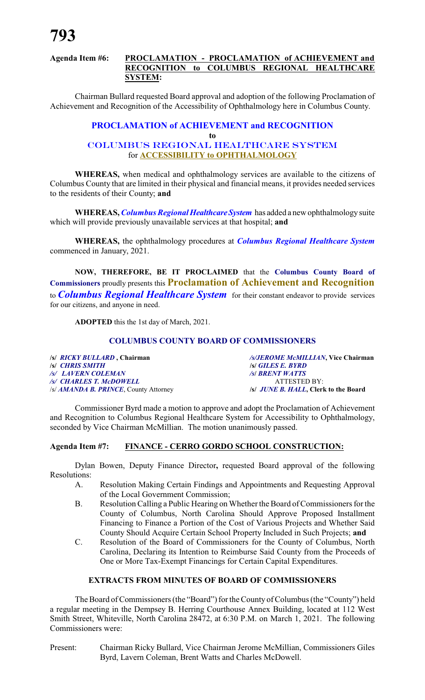#### **Agenda Item #6: PROCLAMATION - PROCLAMATION of ACHIEVEMENT and RECOGNITION to COLUMBUS REGIONAL HEALTHCARE SYSTEM:**

Chairman Bullard requested Board approval and adoption of the following Proclamation of Achievement and Recognition of the Accessibility of Ophthalmology here in Columbus County.

#### **PROCLAMATION of ACHIEVEMENT and RECOGNITION to** *COLUMBUS REGIONAL HEALTHCARE SYSTEM* for **ACCESSIBILITY to OPHTHALMOLOGY**

**WHEREAS,** when medical and ophthalmology services are available to the citizens of Columbus County that are limited in their physical and financial means, it provides needed services to the residents of their County; **and**

**WHEREAS, Columbus Regional Healthcare System** has added a new ophthalmology suite which will provide previously unavailable services at that hospital; **and**

**WHEREAS,** the ophthalmology procedures at *Columbus Regional Healthcare System* commenced in January, 2021.

**NOW, THEREFORE, BE IT PROCLAIMED** that the **Columbus County Board of Commissioners** proudly presents this **Proclamation of Achievement and Recognition** to *Columbus Regional Healthcare System* for their constant endeavor to provide services for our citizens, and anyone in need.

**ADOPTED** this the 1st day of March, 2021.

#### **COLUMBUS COUNTY BOARD OF COMMISSIONERS**

**/s/** *CHRIS SMITH* **/s/** *GILES E. BYRD /s/ LAVERN COLEMAN /s***/** *BRENT WATTS /s/ CHARLES T. McDOWELL* ATTESTED BY:<br>*/s/ AMANDA B. PRINCE*, County Attorney */s/ JUNE B. HALL*, Clerk to the Board /s/ **AMANDA B. PRINCE**, County Attorney

**/s/** *RICKY BULLARD* **, Chairman** */s/JEROME McMILLIAN***, Vice Chairman**

Commissioner Byrd made a motion to approve and adopt the Proclamation of Achievement and Recognition to Columbus Regional Healthcare System for Accessibility to Ophthalmology, seconded by Vice Chairman McMillian. The motion unanimously passed.

### **Agenda Item #7: FINANCE - CERRO GORDO SCHOOL CONSTRUCTION:**

Dylan Bowen, Deputy Finance Director**,** requested Board approval of the following Resolutions:

- A. Resolution Making Certain Findings and Appointments and Requesting Approval of the Local Government Commission;
- B. Resolution Calling a Public Hearing on Whether the Board of Commissioners for the County of Columbus, North Carolina Should Approve Proposed Installment Financing to Finance a Portion of the Cost of Various Projects and Whether Said County Should Acquire Certain School Property Included in Such Projects; **and**
- C. Resolution of the Board of Commissioners for the County of Columbus, North Carolina, Declaring its Intention to Reimburse Said County from the Proceeds of One or More Tax-Exempt Financings for Certain Capital Expenditures.

# **EXTRACTS FROM MINUTES OF BOARD OF COMMISSIONERS**

The Board of Commissioners (the "Board") for the County of Columbus (the "County") held a regular meeting in the Dempsey B. Herring Courthouse Annex Building, located at 112 West Smith Street, Whiteville, North Carolina 28472, at 6:30 P.M. on March 1, 2021. The following Commissioners were:

Present: Chairman Ricky Bullard, Vice Chairman Jerome McMillian, Commissioners Giles Byrd, Lavern Coleman, Brent Watts and Charles McDowell.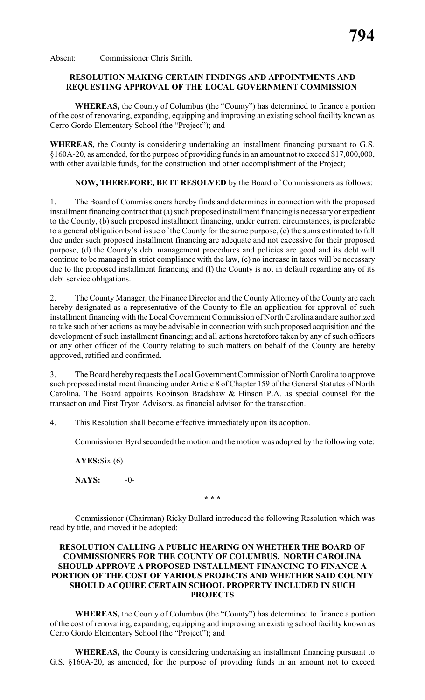Absent: Commissioner Chris Smith.

#### **RESOLUTION MAKING CERTAIN FINDINGS AND APPOINTMENTS AND REQUESTING APPROVAL OF THE LOCAL GOVERNMENT COMMISSION**

**WHEREAS,** the County of Columbus (the "County") has determined to finance a portion of the cost of renovating, expanding, equipping and improving an existing school facility known as Cerro Gordo Elementary School (the "Project"); and

**WHEREAS,** the County is considering undertaking an installment financing pursuant to G.S. §160A-20, as amended, for the purpose of providing funds in an amount not to exceed \$17,000,000, with other available funds, for the construction and other accomplishment of the Project;

**NOW, THEREFORE, BE IT RESOLVED** by the Board of Commissioners as follows:

1. The Board of Commissioners hereby finds and determines in connection with the proposed installment financing contract that (a) such proposed installment financing is necessaryor expedient to the County, (b) such proposed installment financing, under current circumstances, is preferable to a general obligation bond issue of the County for the same purpose, (c) the sums estimated to fall due under such proposed installment financing are adequate and not excessive for their proposed purpose, (d) the County's debt management procedures and policies are good and its debt will continue to be managed in strict compliance with the law, (e) no increase in taxes will be necessary due to the proposed installment financing and (f) the County is not in default regarding any of its debt service obligations.

2. The County Manager, the Finance Director and the County Attorney of the County are each hereby designated as a representative of the County to file an application for approval of such installment financing with the Local Government Commission of North Carolina and are authorized to take such other actions as may be advisable in connection with such proposed acquisition and the development of such installment financing; and all actions heretofore taken by any of such officers or any other officer of the County relating to such matters on behalf of the County are hereby approved, ratified and confirmed.

3. The Board hereby requests the Local Government Commission of North Carolina to approve such proposed installment financing under Article 8 of Chapter 159 of the General Statutes of North Carolina. The Board appoints Robinson Bradshaw & Hinson P.A. as special counsel for the transaction and First Tryon Advisors. as financial advisor for the transaction.

4. This Resolution shall become effective immediately upon its adoption.

Commissioner Byrd seconded the motion and the motion was adopted by the following vote:

**AYES:**Six (6)

**NAYS:** -0-

**\* \* \***

Commissioner (Chairman) Ricky Bullard introduced the following Resolution which was read by title, and moved it be adopted:

### **RESOLUTION CALLING A PUBLIC HEARING ON WHETHER THE BOARD OF COMMISSIONERS FOR THE COUNTY OF COLUMBUS, NORTH CAROLINA SHOULD APPROVE A PROPOSED INSTALLMENT FINANCING TO FINANCE A PORTION OF THE COST OF VARIOUS PROJECTS AND WHETHER SAID COUNTY SHOULD ACQUIRE CERTAIN SCHOOL PROPERTY INCLUDED IN SUCH PROJECTS**

**WHEREAS,** the County of Columbus (the "County") has determined to finance a portion of the cost of renovating, expanding, equipping and improving an existing school facility known as Cerro Gordo Elementary School (the "Project"); and

**WHEREAS,** the County is considering undertaking an installment financing pursuant to G.S. §160A-20, as amended, for the purpose of providing funds in an amount not to exceed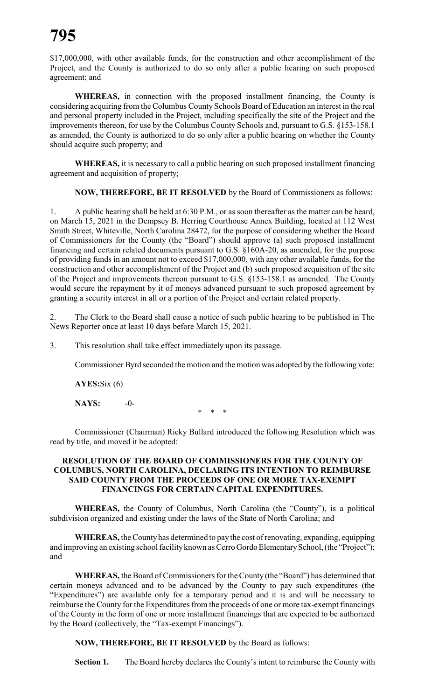\$17,000,000, with other available funds, for the construction and other accomplishment of the Project, and the County is authorized to do so only after a public hearing on such proposed agreement; and

**WHEREAS,** in connection with the proposed installment financing, the County is considering acquiring from the Columbus County Schools Board of Education an interest in the real and personal property included in the Project, including specifically the site of the Project and the improvements thereon, for use by the Columbus County Schools and, pursuant to G.S. §153-158.1 as amended, the County is authorized to do so only after a public hearing on whether the County should acquire such property; and

**WHEREAS,** it is necessary to call a public hearing on such proposed installment financing agreement and acquisition of property;

**NOW, THEREFORE, BE IT RESOLVED** by the Board of Commissioners as follows:

1. A public hearing shall be held at 6:30 P.M., or as soon thereafter as the matter can be heard, on March 15, 2021 in the Dempsey B. Herring Courthouse Annex Building, located at 112 West Smith Street, Whiteville, North Carolina 28472, for the purpose of considering whether the Board of Commissioners for the County (the "Board") should approve (a) such proposed installment financing and certain related documents pursuant to G.S. §160A-20, as amended, for the purpose of providing funds in an amount not to exceed \$17,000,000, with any other available funds, for the construction and other accomplishment of the Project and (b) such proposed acquisition of the site of the Project and improvements thereon pursuant to G.S. §153-158.1 as amended. The County would secure the repayment by it of moneys advanced pursuant to such proposed agreement by granting a security interest in all or a portion of the Project and certain related property.

The Clerk to the Board shall cause a notice of such public hearing to be published in The News Reporter once at least 10 days before March 15, 2021.

3. This resolution shall take effect immediately upon its passage.

Commissioner Byrd seconded the motion and the motion was adopted bythe following vote:

**AYES:**Six (6)

**NAYS:** -0-  $*$ 

Commissioner (Chairman) Ricky Bullard introduced the following Resolution which was read by title, and moved it be adopted:

#### **RESOLUTION OF THE BOARD OF COMMISSIONERS FOR THE COUNTY OF COLUMBUS, NORTH CAROLINA, DECLARING ITS INTENTION TO REIMBURSE SAID COUNTY FROM THE PROCEEDS OF ONE OR MORE TAX-EXEMPT FINANCINGS FOR CERTAIN CAPITAL EXPENDITURES.**

**WHEREAS,** the County of Columbus, North Carolina (the "County"), is a political subdivision organized and existing under the laws of the State of North Carolina; and

**WHEREAS,** the Countyhas determined to pay the cost of renovating, expanding, equipping and improving an existing school facility known as Cerro Gordo Elementary School, (the "Project"); and

**WHEREAS,** the Board of Commissioners for the County (the "Board") has determined that certain moneys advanced and to be advanced by the County to pay such expenditures (the "Expenditures") are available only for a temporary period and it is and will be necessary to reimburse the County for the Expenditures from the proceeds of one or more tax-exempt financings of the County in the form of one or more installment financings that are expected to be authorized by the Board (collectively, the "Tax-exempt Financings").

**NOW, THEREFORE, BE IT RESOLVED** by the Board as follows:

**Section 1.** The Board hereby declares the County's intent to reimburse the County with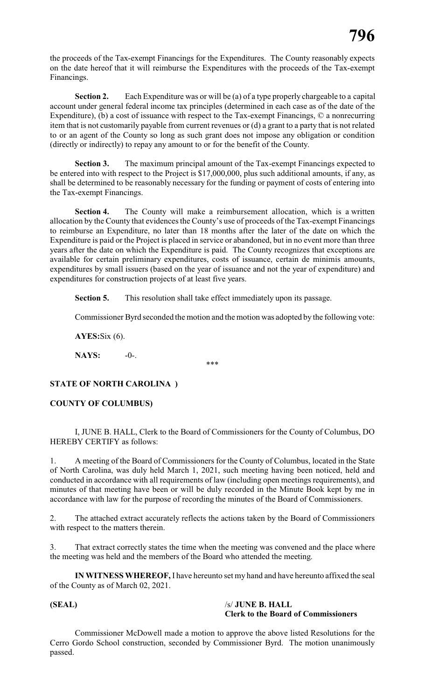the proceeds of the Tax-exempt Financings for the Expenditures. The County reasonably expects on the date hereof that it will reimburse the Expenditures with the proceeds of the Tax-exempt Financings.

**Section 2.** Each Expenditure was or will be (a) of a type properly chargeable to a capital account under general federal income tax principles (determined in each case as of the date of the Expenditure), (b) a cost of issuance with respect to the Tax-exempt Financings, © a nonrecurring item that is not customarily payable from current revenues or (d) a grant to a party that is not related to or an agent of the County so long as such grant does not impose any obligation or condition (directly or indirectly) to repay any amount to or for the benefit of the County.

**Section 3.** The maximum principal amount of the Tax-exempt Financings expected to be entered into with respect to the Project is \$17,000,000, plus such additional amounts, if any, as shall be determined to be reasonably necessary for the funding or payment of costs of entering into the Tax-exempt Financings.

**Section 4.** The County will make a reimbursement allocation, which is a written allocation by the County that evidences the County's use of proceeds of the Tax-exempt Financings to reimburse an Expenditure, no later than 18 months after the later of the date on which the Expenditure is paid or the Project is placed in service or abandoned, but in no event more than three years after the date on which the Expenditure is paid. The County recognizes that exceptions are available for certain preliminary expenditures, costs of issuance, certain de minimis amounts, expenditures by small issuers (based on the year of issuance and not the year of expenditure) and expenditures for construction projects of at least five years.

Section 5. This resolution shall take effect immediately upon its passage.

Commissioner Byrd seconded the motion and the motion was adopted by the following vote:

**AYES:**Six (6).

**NAYS:** -0-.

\*\*\*

# **STATE OF NORTH CAROLINA )**

# **COUNTY OF COLUMBUS)**

I, JUNE B. HALL, Clerk to the Board of Commissioners for the County of Columbus, DO HEREBY CERTIFY as follows:

1. A meeting of the Board of Commissioners for the County of Columbus, located in the State of North Carolina, was duly held March 1, 2021, such meeting having been noticed, held and conducted in accordance with all requirements of law (including open meetings requirements), and minutes of that meeting have been or will be duly recorded in the Minute Book kept by me in accordance with law for the purpose of recording the minutes of the Board of Commissioners.

2. The attached extract accurately reflects the actions taken by the Board of Commissioners with respect to the matters therein.

3. That extract correctly states the time when the meeting was convened and the place where the meeting was held and the members of the Board who attended the meeting.

**IN WITNESS WHEREOF,** I have hereunto set my hand and have hereunto affixed the seal of the County as of March 02, 2021.

#### **(SEAL)** /s/ **JUNE B. HALL Clerk to the Board of Commissioners**

Commissioner McDowell made a motion to approve the above listed Resolutions for the Cerro Gordo School construction, seconded by Commissioner Byrd. The motion unanimously passed.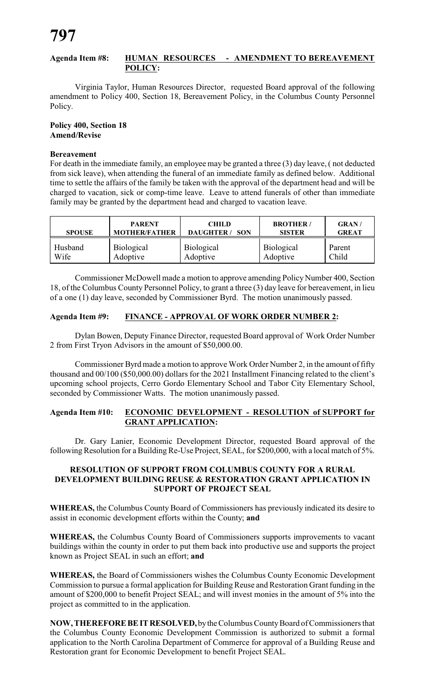#### **Agenda Item #8: HUMAN RESOURCES - AMENDMENT TO BEREAVEMENT POLICY:**

Virginia Taylor, Human Resources Director, requested Board approval of the following amendment to Policy 400, Section 18, Bereavement Policy, in the Columbus County Personnel Policy.

#### **Policy 400, Section 18 Amend/Revise**

#### **Bereavement**

For death in the immediate family, an employee may be granted a three (3) day leave, ( not deducted from sick leave), when attending the funeral of an immediate family as defined below. Additional time to settle the affairs of the family be taken with the approval of the department head and will be charged to vacation, sick or comp-time leave. Leave to attend funerals of other than immediate family may be granted by the department head and charged to vacation leave.

| <b>SPOUSE</b> | <b>PARENT</b>        | <b>CHILD</b>        | <b>BROTHER/</b>   | <b>GRAN/</b> |
|---------------|----------------------|---------------------|-------------------|--------------|
|               | <b>MOTHER/FATHER</b> | <b>DAUGHTER/SON</b> | <b>SISTER</b>     | <b>GREAT</b> |
| Husband       | <b>Biological</b>    | <b>Biological</b>   | <b>Biological</b> | Parent       |
| Wife          | Adoptive             | Adoptive            | Adoptive          | Child        |

Commissioner McDowell made a motion to approve amending Policy Number 400, Section 18, of the Columbus County Personnel Policy, to grant a three (3) day leave for bereavement, in lieu of a one (1) day leave, seconded by Commissioner Byrd. The motion unanimously passed.

#### **Agenda Item #9: FINANCE - APPROVAL OF WORK ORDER NUMBER 2:**

Dylan Bowen, Deputy Finance Director, requested Board approval of Work Order Number 2 from First Tryon Advisors in the amount of \$50,000.00.

Commissioner Byrd made a motion to approve Work Order Number 2, in the amount of fifty thousand and 00/100 (\$50,000.00) dollars for the 2021 Installment Financing related to the client's upcoming school projects, Cerro Gordo Elementary School and Tabor City Elementary School, seconded by Commissioner Watts. The motion unanimously passed.

### **Agenda Item #10: ECONOMIC DEVELOPMENT - RESOLUTION of SUPPORT for GRANT APPLICATION:**

Dr. Gary Lanier, Economic Development Director, requested Board approval of the following Resolution for a Building Re-Use Project, SEAL, for \$200,000, with a local match of 5%.

#### **RESOLUTION OF SUPPORT FROM COLUMBUS COUNTY FOR A RURAL DEVELOPMENT BUILDING REUSE & RESTORATION GRANT APPLICATION IN SUPPORT OF PROJECT SEAL**

**WHEREAS,** the Columbus County Board of Commissioners has previously indicated its desire to assist in economic development efforts within the County; **and**

**WHEREAS,** the Columbus County Board of Commissioners supports improvements to vacant buildings within the county in order to put them back into productive use and supports the project known as Project SEAL in such an effort; **and**

**WHEREAS,** the Board of Commissioners wishes the Columbus County Economic Development Commission to pursue a formal application for Building Reuse and Restoration Grant funding in the amount of \$200,000 to benefit Project SEAL; and will invest monies in the amount of 5% into the project as committed to in the application.

**NOW, THEREFOREBEITRESOLVED,** bytheColumbus CountyBoard of Commissioners that the Columbus County Economic Development Commission is authorized to submit a formal application to the North Carolina Department of Commerce for approval of a Building Reuse and Restoration grant for Economic Development to benefit Project SEAL.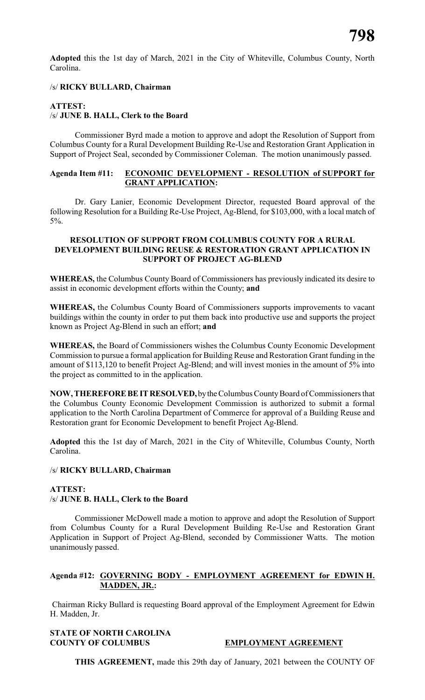**Adopted** this the 1st day of March, 2021 in the City of Whiteville, Columbus County, North Carolina.

### /s/ **RICKY BULLARD, Chairman**

# **ATTEST:**

# /s/ **JUNE B. HALL, Clerk to the Board**

Commissioner Byrd made a motion to approve and adopt the Resolution of Support from Columbus County for a Rural Development Building Re-Use and Restoration Grant Application in Support of Project Seal, seconded by Commissioner Coleman. The motion unanimously passed.

#### **Agenda Item #11: ECONOMIC DEVELOPMENT - RESOLUTION of SUPPORT for GRANT APPLICATION:**

Dr. Gary Lanier, Economic Development Director, requested Board approval of the following Resolution for a Building Re-Use Project, Ag-Blend, for \$103,000, with a local match of 5%.

#### **RESOLUTION OF SUPPORT FROM COLUMBUS COUNTY FOR A RURAL DEVELOPMENT BUILDING REUSE & RESTORATION GRANT APPLICATION IN SUPPORT OF PROJECT AG-BLEND**

**WHEREAS,** the Columbus County Board of Commissioners has previously indicated its desire to assist in economic development efforts within the County; **and**

**WHEREAS,** the Columbus County Board of Commissioners supports improvements to vacant buildings within the county in order to put them back into productive use and supports the project known as Project Ag-Blend in such an effort; **and**

**WHEREAS,** the Board of Commissioners wishes the Columbus County Economic Development Commission to pursue a formal application for Building Reuse and Restoration Grant funding in the amount of \$113,120 to benefit Project Ag-Blend; and will invest monies in the amount of 5% into the project as committed to in the application.

**NOW, THEREFOREBEITRESOLVED,** bytheColumbus CountyBoard of Commissioners that the Columbus County Economic Development Commission is authorized to submit a formal application to the North Carolina Department of Commerce for approval of a Building Reuse and Restoration grant for Economic Development to benefit Project Ag-Blend.

**Adopted** this the 1st day of March, 2021 in the City of Whiteville, Columbus County, North Carolina.

#### /s/ **RICKY BULLARD, Chairman**

# **ATTEST:** /s/ **JUNE B. HALL, Clerk to the Board**

Commissioner McDowell made a motion to approve and adopt the Resolution of Support from Columbus County for a Rural Development Building Re-Use and Restoration Grant Application in Support of Project Ag-Blend, seconded by Commissioner Watts. The motion unanimously passed.

# **Agenda #12: GOVERNING BODY - EMPLOYMENT AGREEMENT for EDWIN H. MADDEN, JR.:**

Chairman Ricky Bullard is requesting Board approval of the Employment Agreement for Edwin H. Madden, Jr.

# **STATE OF NORTH CAROLINA COUNTY OF COLUMBUS EMPLOYMENT AGREEMENT**

**THIS AGREEMENT,** made this 29th day of January, 2021 between the COUNTY OF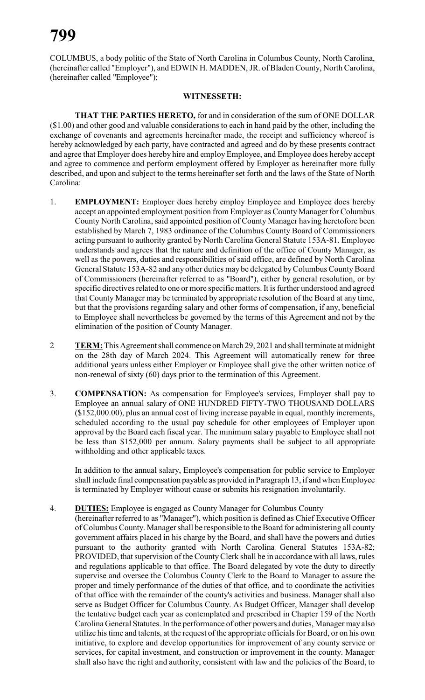COLUMBUS, a body politic of the State of North Carolina in Columbus County, North Carolina, (hereinafter called "Employer"), and EDWIN H. MADDEN, JR. of Bladen County, North Carolina, (hereinafter called "Employee");

#### **WITNESSETH:**

**THAT THE PARTIES HERETO,** for and in consideration of the sum of ONE DOLLAR (\$1.00) and other good and valuable considerations to each in hand paid by the other, including the exchange of covenants and agreements hereinafter made, the receipt and sufficiency whereof is hereby acknowledged by each party, have contracted and agreed and do by these presents contract and agree that Employer does hereby hire and employ Employee, and Employee does hereby accept and agree to commence and perform employment offered by Employer as hereinafter more fully described, and upon and subject to the terms hereinafter set forth and the laws of the State of North Carolina:

- 1. **EMPLOYMENT:** Employer does hereby employ Employee and Employee does hereby accept an appointed employment position from Employer as County Manager for Columbus County North Carolina, said appointed position of County Manager having heretofore been established by March 7, 1983 ordinance of the Columbus County Board of Commissioners acting pursuant to authority granted by North Carolina General Statute 153A-81. Employee understands and agrees that the nature and definition of the office of County Manager, as well as the powers, duties and responsibilities of said office, are defined by North Carolina General Statute 153A-82 and any other duties may be delegated byColumbus CountyBoard of Commissioners (hereinafter referred to as "Board"), either by general resolution, or by specific directives related to one or more specific matters. It is further understood and agreed that County Manager may be terminated by appropriate resolution of the Board at any time, but that the provisions regarding salary and other forms of compensation, if any, beneficial to Employee shall nevertheless be governed by the terms of this Agreement and not by the elimination of the position of County Manager.
- 2 **TERM:**This Agreement shall commence on March 29, 2021 and shall terminate at midnight on the 28th day of March 2024. This Agreement will automatically renew for three additional years unless either Employer or Employee shall give the other written notice of non-renewal of sixty (60) days prior to the termination of this Agreement.
- 3. **COMPENSATION:** As compensation for Employee's services, Employer shall pay to Employee an annual salary of ONE HUNDRED FIFTY-TWO THOUSAND DOLLARS (\$152,000.00), plus an annual cost of living increase payable in equal, monthly increments, scheduled according to the usual pay schedule for other employees of Employer upon approval by the Board each fiscal year. The minimum salary payable to Employee shall not be less than \$152,000 per annum. Salary payments shall be subject to all appropriate withholding and other applicable taxes.

In addition to the annual salary, Employee's compensation for public service to Employer shall include final compensation payable as provided in Paragraph 13, if and when Employee is terminated by Employer without cause or submits his resignation involuntarily.

4. **DUTIES:** Employee is engaged as County Manager for Columbus County (hereinafter referred to as "Manager"), which position is defined as Chief Executive Officer of Columbus County. Manager shall be responsible to the Board for administering all county government affairs placed in his charge by the Board, and shall have the powers and duties pursuant to the authority granted with North Carolina General Statutes 153A-82; PROVIDED, that supervision of the CountyClerk shall be in accordance with all laws, rules and regulations applicable to that office. The Board delegated by vote the duty to directly supervise and oversee the Columbus County Clerk to the Board to Manager to assure the proper and timely performance of the duties of that office, and to coordinate the activities of that office with the remainder of the county's activities and business. Manager shall also serve as Budget Officer for Columbus County. As Budget Officer, Manager shall develop the tentative budget each year as contemplated and prescribed in Chapter 159 of the North Carolina General Statutes. In the performance of other powers and duties, Manager may also utilize his time and talents, at the request of the appropriate officials for Board, or on his own initiative, to explore and develop opportunities for improvement of any county service or services, for capital investment, and construction or improvement in the county. Manager shall also have the right and authority, consistent with law and the policies of the Board, to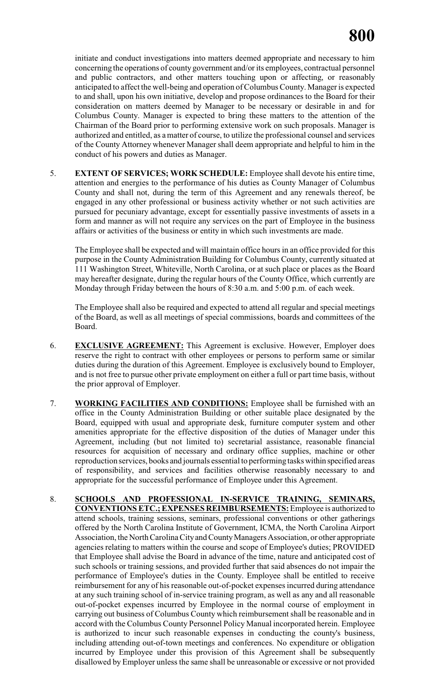initiate and conduct investigations into matters deemed appropriate and necessary to him concerning the operations of county government and/or its employees, contractual personnel and public contractors, and other matters touching upon or affecting, or reasonably anticipated to affect the well-being and operation of Columbus County. Manager is expected to and shall, upon his own initiative, develop and propose ordinances to the Board for their consideration on matters deemed by Manager to be necessary or desirable in and for Columbus County. Manager is expected to bring these matters to the attention of the Chairman of the Board prior to performing extensive work on such proposals. Manager is authorized and entitled, as a matter of course, to utilize the professional counsel and services of the County Attorney whenever Manager shall deem appropriate and helpful to him in the conduct of his powers and duties as Manager.

5. **EXTENT OF SERVICES; WORK SCHEDULE:** Employee shall devote his entire time, attention and energies to the performance of his duties as County Manager of Columbus County and shall not, during the term of this Agreement and any renewals thereof, be engaged in any other professional or business activity whether or not such activities are pursued for pecuniary advantage, except for essentially passive investments of assets in a form and manner as will not require any services on the part of Employee in the business affairs or activities of the business or entity in which such investments are made.

The Employee shall be expected and will maintain office hours in an office provided for this purpose in the County Administration Building for Columbus County, currently situated at 111 Washington Street, Whiteville, North Carolina, or at such place or places as the Board may hereafter designate, during the regular hours of the County Office, which currently are Monday through Friday between the hours of 8:30 a.m. and 5:00 p.m. of each week.

The Employee shall also be required and expected to attend all regular and special meetings of the Board, as well as all meetings of special commissions, boards and committees of the Board.

- 6. **EXCLUSIVE AGREEMENT:** This Agreement is exclusive. However, Employer does reserve the right to contract with other employees or persons to perform same or similar duties during the duration of this Agreement. Employee is exclusively bound to Employer, and is not free to pursue other private employment on either a full or part time basis, without the prior approval of Employer.
- 7. **WORKING FACILITIES AND CONDITIONS:** Employee shall be furnished with an office in the County Administration Building or other suitable place designated by the Board, equipped with usual and appropriate desk, furniture computer system and other amenities appropriate for the effective disposition of the duties of Manager under this Agreement, including (but not limited to) secretarial assistance, reasonable financial resources for acquisition of necessary and ordinary office supplies, machine or other reproduction services, books and journals essential to performing taskswithin specified areas of responsibility, and services and facilities otherwise reasonably necessary to and appropriate for the successful performance of Employee under this Agreement.
- 8. **SCHOOLS AND PROFESSIONAL IN-SERVICE TRAINING, SEMINARS, CONVENTIONS ETC.; EXPENSES REIMBURSEMENTS:** Employee is authorized to attend schools, training sessions, seminars, professional conventions or other gatherings offered by the North Carolina Institute of Government, ICMA, the North Carolina Airport Association, the North Carolina City and CountyManagers Association, or other appropriate agencies relating to matters within the course and scope of Employee's duties; PROVIDED that Employee shall advise the Board in advance of the time, nature and anticipated cost of such schools or training sessions, and provided further that said absences do not impair the performance of Employee's duties in the County. Employee shall be entitled to receive reimbursement for any of his reasonable out-of-pocket expenses incurred during attendance at any such training school of in-service training program, as well as any and all reasonable out-of-pocket expenses incurred by Employee in the normal course of employment in carrying out business of Columbus County which reimbursement shall be reasonable and in accord with the Columbus County Personnel Policy Manual incorporated herein. Employee is authorized to incur such reasonable expenses in conducting the county's business, including attending out-of-town meetings and conferences. No expenditure or obligation incurred by Employee under this provision of this Agreement shall be subsequently disallowed by Employer unless the same shall be unreasonable or excessive or not provided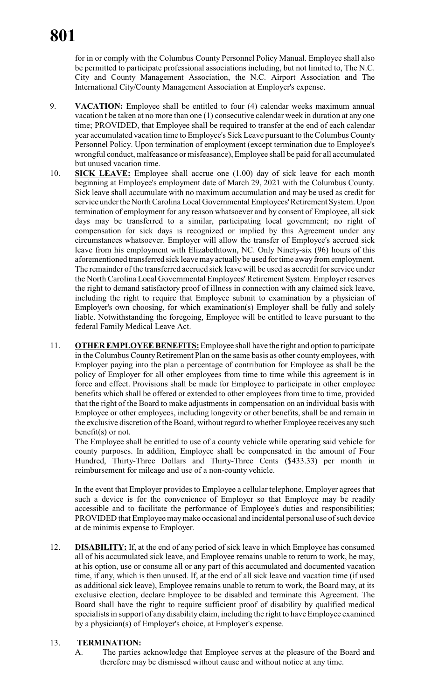for in or comply with the Columbus County Personnel Policy Manual. Employee shall also be permitted to participate professional associations including, but not limited to, The N.C. City and County Management Association, the N.C. Airport Association and The International City/County Management Association at Employer's expense.

- 9. **VACATION:** Employee shall be entitled to four (4) calendar weeks maximum annual vacation t be taken at no more than one (1) consecutive calendar week in duration at any one time; PROVIDED, that Employee shall be required to transfer at the end of each calendar year accumulated vacation time to Employee's Sick Leave pursuant to the Columbus County Personnel Policy. Upon termination of employment (except termination due to Employee's wrongful conduct, malfeasance or misfeasance), Employee shall be paid for all accumulated but unused vacation time.
- 10. **SICK LEAVE:** Employee shall accrue one (1.00) day of sick leave for each month beginning at Employee's employment date of March 29, 2021 with the Columbus County. Sick leave shall accumulate with no maximum accumulation and may be used as credit for service under the North Carolina Local Governmental Employees' Retirement System. Upon termination of employment for any reason whatsoever and by consent of Employee, all sick days may be transferred to a similar, participating local government; no right of compensation for sick days is recognized or implied by this Agreement under any circumstances whatsoever. Employer will allow the transfer of Employee's accrued sick leave from his employment with Elizabethtown, NC. Only Ninety-six (96) hours of this aforementioned transferred sick leave may actually be used for time away from employment. The remainder of the transferred accrued sick leave will be used as accredit for service under the North Carolina Local Governmental Employees' Retirement System. Employer reserves the right to demand satisfactory proof of illness in connection with any claimed sick leave, including the right to require that Employee submit to examination by a physician of Employer's own choosing, for which examination(s) Employer shall be fully and solely liable. Notwithstanding the foregoing, Employee will be entitled to leave pursuant to the federal Family Medical Leave Act.
- 11. **OTHER EMPLOYEE BENEFITS:** Employee shall have the right and option to participate in the Columbus County Retirement Plan on the same basis as other county employees, with Employer paying into the plan a percentage of contribution for Employee as shall be the policy of Employer for all other employees from time to time while this agreement is in force and effect. Provisions shall be made for Employee to participate in other employee benefits which shall be offered or extended to other employees from time to time, provided that the right of the Board to make adjustments in compensation on an individual basis with Employee or other employees, including longevity or other benefits, shall be and remain in the exclusive discretion of the Board, without regard to whether Employee receives any such benefit(s) or not.

The Employee shall be entitled to use of a county vehicle while operating said vehicle for county purposes. In addition, Employee shall be compensated in the amount of Four Hundred, Thirty-Three Dollars and Thirty-Three Cents (\$433.33) per month in reimbursement for mileage and use of a non-county vehicle.

In the event that Employer provides to Employee a cellular telephone, Employer agrees that such a device is for the convenience of Employer so that Employee may be readily accessible and to facilitate the performance of Employee's duties and responsibilities; PROVIDED that Employee maymake occasional and incidental personal use of such device at de minimis expense to Employer.

12. **DISABILITY:** If, at the end of any period of sick leave in which Employee has consumed all of his accumulated sick leave, and Employee remains unable to return to work, he may, at his option, use or consume all or any part of this accumulated and documented vacation time, if any, which is then unused. If, at the end of all sick leave and vacation time (if used as additional sick leave), Employee remains unable to return to work, the Board may, at its exclusive election, declare Employee to be disabled and terminate this Agreement. The Board shall have the right to require sufficient proof of disability by qualified medical specialists in support of any disability claim, including the right to have Employee examined by a physician(s) of Employer's choice, at Employer's expense.

# 13. **TERMINATION:**

A. The parties acknowledge that Employee serves at the pleasure of the Board and therefore may be dismissed without cause and without notice at any time.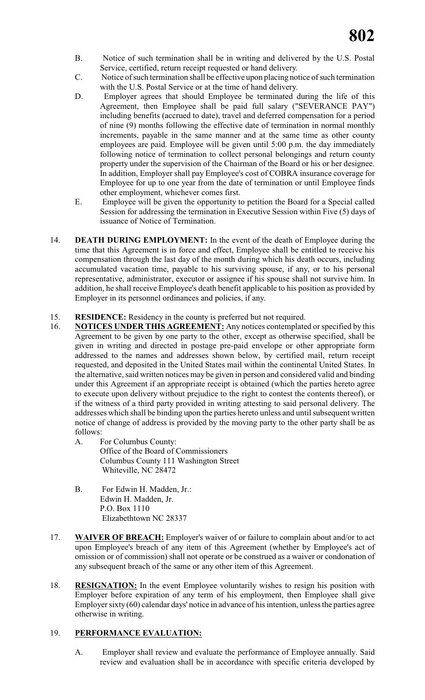- B. Notice of such termination shall be in writing and delivered by the U.S. Postal Service, certified, return receipt requested or hand delivery.
- C. Notice of such termination shall be effective upon placing notice of such termination with the U.S. Postal Service or at the time of hand delivery.
- D. Employer agrees that should Employee be terminated during the life of this Agreement, then Employee shall be paid full salary ("SEVERANCE PAY") including benefits (accrued to date), travel and deferred compensation for a period of nine (9) months following the effective date of termination in normal monthly increments, payable in the same manner and at the same time as other county employees are paid. Employee will be given until 5:00 p.m. the day immediately following notice of termination to collect personal belongings and return county property under the supervision of the Chairman of the Board or his or her designee. In addition, Employer shall pay Employee's cost of COBRA insurance coverage for Employee for up to one year from the date of termination or until Employee finds other employment, whichever comes first.
- E. Employee will be given the opportunity to petition the Board for a Special called Session for addressing the termination in Executive Session within Five (5) days of issuance of Notice of Termination.
- 14. **DEATH DURING EMPLOYMENT:** In the event of the death of Employee during the time that this Agreement is in force and effect, Employee shall be entitled to receive his compensation through the last day of the month during which his death occurs, including accumulated vacation time, payable to his surviving spouse, if any, or to his personal representative, administrator, executor or assignee if his spouse shall not survive him. In addition, he shall receive Employee's death benefit applicable to his position as provided by Employer in its personnel ordinances and policies, if any.

# 15. **RESIDENCE:** Residency in the county is preferred but not required.

- 16. **NOTICES UNDER THIS AGREEMENT:** Any notices contemplated or specified by this Agreement to be given by one party to the other, except as otherwise specified, shall be given in writing and directed in postage pre-paid envelope or other appropriate form addressed to the names and addresses shown below, by certified mail, return receipt requested, and deposited in the United States mail within the continental United States. In the alternative, said written notices may be given in person and considered valid and binding under this Agreement if an appropriate receipt is obtained (which the parties hereto agree to execute upon delivery without prejudice to the right to contest the contents thereof), or if the witness of a third party provided in writing attesting to said personal delivery. The addresses which shall be binding upon the parties hereto unless and until subsequent written notice of change of address is provided by the moving party to the other party shall be as follows:
	- A. For Columbus County: Office of the Board of Commissioners Columbus County 111 Washington Street Whiteville, NC 28472
	- B. For Edwin H. Madden, Jr.: Edwin H. Madden, Jr. P.O. Box 1110 Elizabethtown NC 28337
- 17. **WAIVER OF BREACH:** Employer's waiver of or failure to complain about and/or to act upon Employee's breach of any item of this Agreement (whether by Employee's act of omission or of commission) shall not operate or be construed as a waiver or condonation of any subsequent breach of the same or any other item of this Agreement.
- 18. **RESIGNATION:** In the event Employee voluntarily wishes to resign his position with Employer before expiration of any term of his employment, then Employee shall give Employer sixty (60) calendar days' notice in advance of his intention, unless the parties agree otherwise in writing.

# 19. **PERFORMANCE EVALUATION:**

A. Employer shall review and evaluate the performance of Employee annually. Said review and evaluation shall be in accordance with specific criteria developed by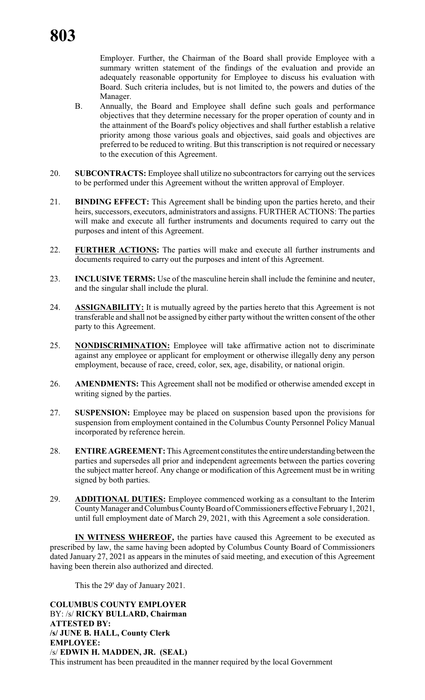Employer. Further, the Chairman of the Board shall provide Employee with a summary written statement of the findings of the evaluation and provide an adequately reasonable opportunity for Employee to discuss his evaluation with Board. Such criteria includes, but is not limited to, the powers and duties of the Manager.

- B. Annually, the Board and Employee shall define such goals and performance objectives that they determine necessary for the proper operation of county and in the attainment of the Board's policy objectives and shall further establish a relative priority among those various goals and objectives, said goals and objectives are preferred to be reduced to writing. But this transcription is not required or necessary to the execution of this Agreement.
- 20. **SUBCONTRACTS:** Employee shall utilize no subcontractors for carrying out the services to be performed under this Agreement without the written approval of Employer.
- 21. **BINDING EFFECT:** This Agreement shall be binding upon the parties hereto, and their heirs, successors, executors, administrators and assigns. FURTHER ACTIONS: The parties will make and execute all further instruments and documents required to carry out the purposes and intent of this Agreement.
- 22. **FURTHER ACTIONS:** The parties will make and execute all further instruments and documents required to carry out the purposes and intent of this Agreement.
- 23. **INCLUSIVE TERMS:** Use of the masculine herein shall include the feminine and neuter, and the singular shall include the plural.
- 24. **ASSIGNABILITY:** It is mutually agreed by the parties hereto that this Agreement is not transferable and shall not be assigned by either party without the written consent of the other party to this Agreement.
- 25. **NONDISCRIMINATION:** Employee will take affirmative action not to discriminate against any employee or applicant for employment or otherwise illegally deny any person employment, because of race, creed, color, sex, age, disability, or national origin.
- 26. **AMENDMENTS:** This Agreement shall not be modified or otherwise amended except in writing signed by the parties.
- 27. **SUSPENSION:** Employee may be placed on suspension based upon the provisions for suspension from employment contained in the Columbus County Personnel Policy Manual incorporated by reference herein.
- 28. **ENTIRE AGREEMENT:**This Agreement constitutes the entire understanding between the parties and supersedes all prior and independent agreements between the parties covering the subject matter hereof. Any change or modification of this Agreement must be in writing signed by both parties.
- 29. **ADDITIONAL DUTIES:** Employee commenced working as a consultant to the Interim CountyManager and Columbus CountyBoard of Commissioners effective February1, 2021, until full employment date of March 29, 2021, with this Agreement a sole consideration.

**IN WITNESS WHEREOF,** the parties have caused this Agreement to be executed as prescribed by law, the same having been adopted by Columbus County Board of Commissioners dated January 27, 2021 as appears in the minutes of said meeting, and execution of this Agreement having been therein also authorized and directed.

This the 29' day of January 2021.

**COLUMBUS COUNTY EMPLOYER** BY: /s/ **RICKY BULLARD, Chairman ATTESTED BY: /s/ JUNE B. HALL, County Clerk EMPLOYEE:** /s/ **EDWIN H. MADDEN, JR. (SEAL)** This instrument has been preaudited in the manner required by the local Government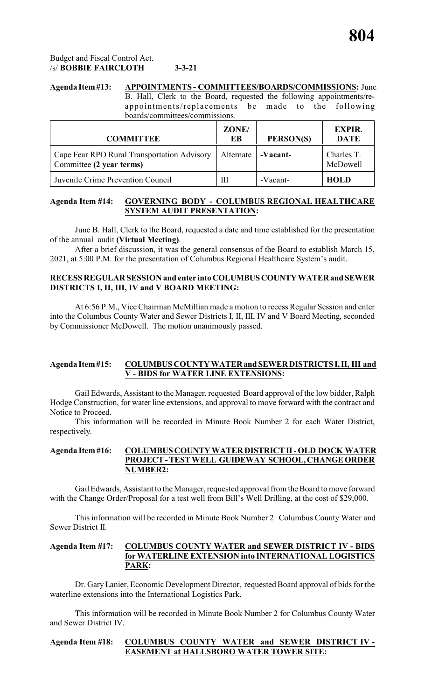# Budget and Fiscal Control Act. /s/ **BOBBIE FAIRCLOTH 3-3-21**

# **Agenda Item#13: APPOINTMENTS - COMMITTEES/BOARDS/COMMISSIONS:** June

B. Hall, Clerk to the Board, requested the following appointments/reappointments/replacements be made to the following boards/committees/commissions.

| <b>COMMITTEE</b>                                                        | ZONE/<br>EB | PERSON(S) | <b>EXPIR.</b><br><b>DATE</b> |
|-------------------------------------------------------------------------|-------------|-----------|------------------------------|
| Cape Fear RPO Rural Transportation Advisory<br>Committee (2 year terms) | Alternate   | -Vacant-  | Charles T.<br>McDowell       |
| Juvenile Crime Prevention Council                                       | Ш           | -Vacant-  | <b>HOLD</b>                  |

# **Agenda Item #14: GOVERNING BODY - COLUMBUS REGIONAL HEALTHCARE SYSTEM AUDIT PRESENTATION:**

June B. Hall, Clerk to the Board, requested a date and time established for the presentation of the annual audit **(Virtual Meeting)**.

After a brief discussion, it was the general consensus of the Board to establish March 15, 2021, at 5:00 P.M. for the presentation of Columbus Regional Healthcare System's audit.

#### **RECESS REGULAR SESSION and enter intoCOLUMBUSCOUNTYWATERand SEWER DISTRICTS I, II, III, IV and V BOARD MEETING:**

At 6:56 P.M., Vice Chairman McMillian made a motion to recess Regular Session and enter into the Columbus County Water and Sewer Districts I, II, III, IV and V Board Meeting, seconded by Commissioner McDowell. The motion unanimously passed.

# **Agenda Item#15: COLUMBUS COUNTY WATERand SEWERDISTRICTSI,II, III and V - BIDS for WATER LINE EXTENSIONS:**

Gail Edwards, Assistant to the Manager, requested Board approval of the low bidder, Ralph Hodge Construction, for water line extensions, and approval to move forward with the contract and Notice to Proceed.

This information will be recorded in Minute Book Number 2 for each Water District, respectively.

#### **Agenda Item #16: COLUMBUS COUNTY WATER DISTRICT II - OLD DOCK WATER PROJECT - TEST WELL GUIDEWAY SCHOOL, CHANGE ORDER NUMBER2:**

Gail Edwards, Assistant to the Manager, requested approval from the Board to move forward with the Change Order/Proposal for a test well from Bill's Well Drilling, at the cost of \$29,000.

This information will be recorded in Minute Book Number 2 Columbus County Water and Sewer District II.

#### **Agenda Item #17: COLUMBUS COUNTY WATER and SEWER DISTRICT IV - BIDS for WATERLINE EXTENSION into INTERNATIONAL LOGISTICS PARK:**

Dr. GaryLanier, Economic Development Director, requested Board approval of bids for the waterline extensions into the International Logistics Park.

This information will be recorded in Minute Book Number 2 for Columbus County Water and Sewer District IV.

# **Agenda Item #18: COLUMBUS COUNTY WATER and SEWER DISTRICT IV - EASEMENT at HALLSBORO WATER TOWER SITE:**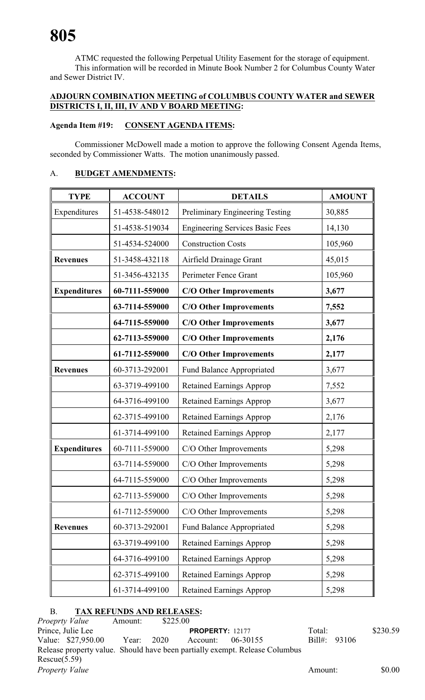ATMC requested the following Perpetual Utility Easement for the storage of equipment. This information will be recorded in Minute Book Number 2 for Columbus County Water and Sewer District IV.

# **ADJOURN COMBINATION MEETING of COLUMBUS COUNTY WATER and SEWER DISTRICTS I, II, III, IV AND V BOARD MEETING:**

# **Agenda Item #19: CONSENT AGENDA ITEMS:**

Commissioner McDowell made a motion to approve the following Consent Agenda Items, seconded by Commissioner Watts. The motion unanimously passed.

# A. **BUDGET AMENDMENTS:**

| <b>TYPE</b>         | <b>ACCOUNT</b> | <b>DETAILS</b>                         | <b>AMOUNT</b> |
|---------------------|----------------|----------------------------------------|---------------|
| Expenditures        | 51-4538-548012 | Preliminary Engineering Testing        | 30,885        |
|                     | 51-4538-519034 | <b>Engineering Services Basic Fees</b> | 14,130        |
|                     | 51-4534-524000 | <b>Construction Costs</b>              | 105,960       |
| <b>Revenues</b>     | 51-3458-432118 | Airfield Drainage Grant                | 45,015        |
|                     | 51-3456-432135 | Perimeter Fence Grant                  | 105,960       |
| <b>Expenditures</b> | 60-7111-559000 | <b>C/O Other Improvements</b>          | 3,677         |
|                     | 63-7114-559000 | <b>C/O Other Improvements</b>          | 7,552         |
|                     | 64-7115-559000 | <b>C/O Other Improvements</b>          | 3,677         |
|                     | 62-7113-559000 | <b>C/O Other Improvements</b>          | 2,176         |
|                     | 61-7112-559000 | <b>C/O Other Improvements</b>          | 2,177         |
| <b>Revenues</b>     | 60-3713-292001 | Fund Balance Appropriated              | 3,677         |
|                     | 63-3719-499100 | <b>Retained Earnings Approp</b>        | 7,552         |
|                     | 64-3716-499100 | <b>Retained Earnings Approp</b>        | 3,677         |
|                     | 62-3715-499100 | <b>Retained Earnings Approp</b>        | 2,176         |
|                     | 61-3714-499100 | <b>Retained Earnings Approp</b>        | 2,177         |
| <b>Expenditures</b> | 60-7111-559000 | C/O Other Improvements                 | 5,298         |
|                     | 63-7114-559000 | C/O Other Improvements                 | 5,298         |
|                     | 64-7115-559000 | C/O Other Improvements                 | 5,298         |
|                     | 62-7113-559000 | C/O Other Improvements                 | 5,298         |
|                     | 61-7112-559000 | C/O Other Improvements                 | 5,298         |
| <b>Revenues</b>     | 60-3713-292001 | Fund Balance Appropriated              | 5,298         |
|                     | 63-3719-499100 | <b>Retained Earnings Approp</b>        | 5,298         |
|                     | 64-3716-499100 | <b>Retained Earnings Approp</b>        | 5,298         |
|                     | 62-3715-499100 | <b>Retained Earnings Approp</b>        | 5,298         |
|                     | 61-3714-499100 | <b>Retained Earnings Approp</b>        | 5,298         |

# B. **TAX REFUNDS AND RELEASES:**

|              | <i>Proeprty Value</i> | Amount:    | \$225.00 |                        |                                                                             |                |          |
|--------------|-----------------------|------------|----------|------------------------|-----------------------------------------------------------------------------|----------------|----------|
|              | Prince, Julie Lee     |            |          | <b>PROPERTY: 12177</b> |                                                                             | Total:         | \$230.59 |
|              | Value: \$27,950.00    | Year: 2020 |          | Account:               | 06-30155                                                                    | Bill#: $93106$ |          |
|              |                       |            |          |                        | Release property value. Should have been partially exempt. Release Columbus |                |          |
| Rescue(5.59) |                       |            |          |                        |                                                                             |                |          |
|              | <b>Property Value</b> |            |          |                        |                                                                             | Amount:        | \$0.00   |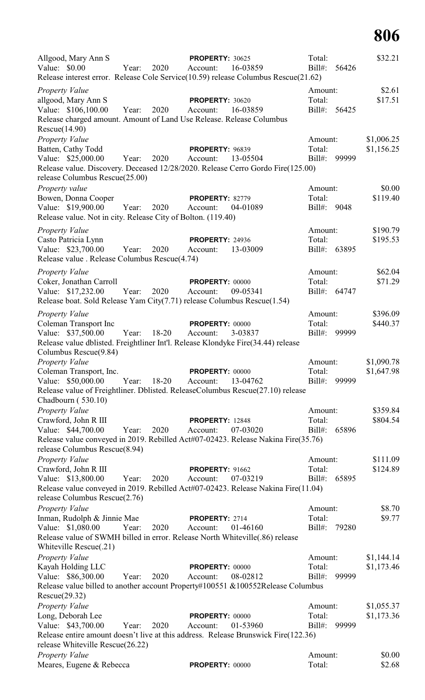| Allgood, Mary Ann S<br>Value: \$0.00<br>Release interest error. Release Cole Service(10.59) release Columbus Rescue(21.62)                                                                                 | Year: | 2020  | <b>PROPERTY: 30625</b><br>Account: | 16-03859 | Total:<br>$Bill#$ :               | 56426 | \$32.21                  |
|------------------------------------------------------------------------------------------------------------------------------------------------------------------------------------------------------------|-------|-------|------------------------------------|----------|-----------------------------------|-------|--------------------------|
| <b>Property Value</b><br>allgood, Mary Ann S<br>Value: \$106,100.00<br>Release charged amount. Amount of Land Use Release. Release Columbus                                                                | Year: | 2020  | <b>PROPERTY: 30620</b><br>Account: | 16-03859 | Amount:<br>Total:<br>$Bill#$ :    | 56425 | \$2.61<br>\$17.51        |
| Rescue(14.90)<br>Property Value<br>Batten, Cathy Todd<br>Value: \$25,000.00<br>Release value. Discovery. Deceased 12/28/2020. Release Cerro Gordo Fire(125.00)<br>release Columbus Rescue(25.00)           | Year: | 2020  | <b>PROPERTY: 96839</b><br>Account: | 13-05504 | Amount:<br>Total:<br>Bill#:       | 99999 | \$1,006.25<br>\$1,156.25 |
| Property value<br>Bowen, Donna Cooper<br>Value: \$19,900.00<br>Release value. Not in city. Release City of Bolton. (119.40)                                                                                | Year: | 2020  | <b>PROPERTY: 82779</b><br>Account: | 04-01089 | Amount:<br>Total:<br>Bill#:       | 9048  | \$0.00<br>\$119.40       |
| Property Value<br>Casto Patricia Lynn<br>Value: \$23,700.00<br>Release value . Release Columbus Rescue(4.74)                                                                                               | Year: | 2020  | <b>PROPERTY: 24936</b><br>Account: | 13-03009 | Amount:<br>Total:<br>$Bill#$ :    | 63895 | \$190.79<br>\$195.53     |
| <b>Property Value</b><br>Coker, Jonathan Carroll<br>Value: \$17,232.00<br>Release boat. Sold Release Yam City(7.71) release Columbus Rescue(1.54)                                                          | Year: | 2020  | <b>PROPERTY: 00000</b><br>Account: | 09-05341 | Amount:<br>Total:<br>Bill#: 64747 |       | \$62.04<br>\$71.29       |
| <b>Property Value</b><br>Coleman Transport Inc<br>Value: \$37,500.00<br>Release value dblisted. Freightliner Int'l. Release Klondyke Fire(34.44) release<br>Columbus Rescue(9.84)                          | Year: | 18-20 | <b>PROPERTY: 00000</b><br>Account: | 3-03837  | Amount:<br>Total:<br>$Bill#$ :    | 99999 | \$396.09<br>\$440.37     |
| Property Value<br>Coleman Transport, Inc.<br>Value: \$50,000.00<br>Release value of Freightliner. Dblisted. ReleaseColumbus Rescue(27.10) release                                                          | Year: | 18-20 | <b>PROPERTY: 00000</b><br>Account: | 13-04762 | Amount:<br>Total:<br>$Bill#$ :    | 99999 | \$1,090.78<br>\$1,647.98 |
| Chadbourn $(530.10)$<br>Property Value<br>Crawford, John R III<br>Value: \$44,700.00<br>Release value conveyed in 2019. Rebilled Act#07-02423. Release Nakina Fire(35.76)<br>release Columbus Rescue(8.94) | Year: | 2020  | <b>PROPERTY: 12848</b><br>Account: | 07-03020 | Amount:<br>Total:<br>$Bill#$ :    | 65896 | \$359.84<br>\$804.54     |
| Property Value<br>Crawford, John R III<br>Value: \$13,800.00<br>Release value conveyed in 2019. Rebilled Act#07-02423. Release Nakina Fire(11.04)<br>release Columbus Rescue(2.76)                         | Year: | 2020  | <b>PROPERTY: 91662</b><br>Account: | 07-03219 | Amount:<br>Total:<br>$Bill#$ :    | 65895 | \$111.09<br>\$124.89     |
| <b>Property Value</b><br>Inman, Rudolph & Jinnie Mae<br>Value: \$1,080.00<br>Release value of SWMH billed in error. Release North Whiteville(.86) release<br>Whiteville Rescue(.21)                        | Year: | 2020  | PROPERTY: 2714<br>Account:         | 01-46160 | Amount:<br>Total:<br>Bill#:       | 79280 | \$8.70<br>\$9.77         |
| <b>Property Value</b><br>Kayah Holding LLC<br>Value: \$86,300.00<br>Release value billed to another account Property#100551 &100552Release Columbus                                                        | Year: | 2020  | <b>PROPERTY: 00000</b><br>Account: | 08-02812 | Amount:<br>Total:<br>$Bill#$ :    | 99999 | \$1,144.14<br>\$1,173.46 |
| Rescue(29.32)<br>Property Value<br>Long, Deborah Lee<br>Value: \$43,700.00<br>Release entire amount doesn't live at this address. Release Brunswick Fire(122.36)                                           | Year: | 2020  | PROPERTY: 00000<br>Account:        | 01-53960 | Amount:<br>Total:<br>$Bill#$ :    | 99999 | \$1,055.37<br>\$1,173.36 |
| release Whiteville Rescue(26.22)<br>Property Value<br>Meares, Eugene & Rebecca                                                                                                                             |       |       | <b>PROPERTY: 00000</b>             |          | Amount:<br>Total:                 |       | \$0.00<br>\$2.68         |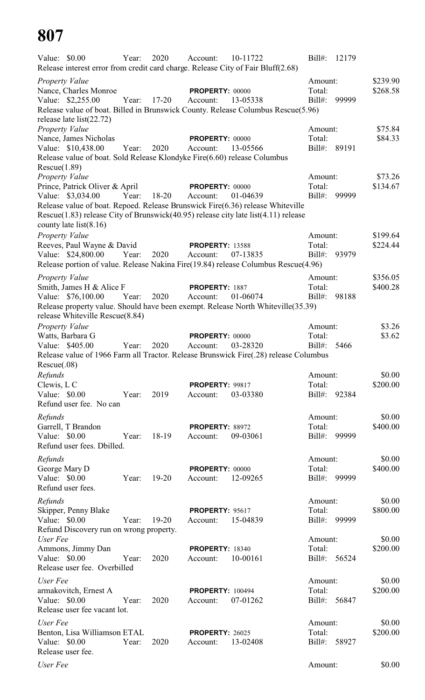| Value: $$0.00$               |                                                         | Year: | 2020      | Account:                            | 10-11722<br>Release interest error from credit card charge. Release City of Fair Bluff(2.68)                                                                                     | $Bill#$ :              | 12179 |                      |
|------------------------------|---------------------------------------------------------|-------|-----------|-------------------------------------|----------------------------------------------------------------------------------------------------------------------------------------------------------------------------------|------------------------|-------|----------------------|
|                              | Property Value<br>Nance, Charles Monroe                 |       |           | <b>PROPERTY: 00000</b>              |                                                                                                                                                                                  | Amount:<br>Total:      |       | \$239.90<br>\$268.58 |
|                              | Value: \$2,255.00                                       | Year: | $17 - 20$ | Account:                            | 13-05338<br>Release value of boat. Billed in Brunswick County. Release Columbus Rescue(5.96)                                                                                     | $Bill#$ :              | 99999 |                      |
|                              | release late $list(22.72)$<br><b>Property Value</b>     |       |           |                                     |                                                                                                                                                                                  | Amount:                |       | \$75.84              |
|                              | Nance, James Nicholas<br>Value: \$10,438.00             | Year: | 2020      | PROPERTY: 00000<br>Account:         | 13-05566                                                                                                                                                                         | Total:<br>Bill#: 89191 |       | \$84.33              |
| Rescue(1.89)                 |                                                         |       |           |                                     | Release value of boat. Sold Release Klondyke Fire(6.60) release Columbus                                                                                                         |                        |       |                      |
|                              | <b>Property Value</b><br>Prince, Patrick Oliver & April |       |           | <b>PROPERTY: 00000</b>              |                                                                                                                                                                                  | Amount:<br>Total:      |       | \$73.26<br>\$134.67  |
|                              | Value: \$3,034.00                                       | Year: | 18-20     | Account:                            | 01-04639<br>Release value of boat. Repoed. Release Brunswick Fire(6.36) release Whiteville<br>Rescue(1.83) release City of Brunswick(40.95) release city late list(4.11) release | $Bill#$ :              | 99999 |                      |
|                              | county late list $(8.16)$<br>Property Value             |       |           |                                     |                                                                                                                                                                                  | Amount:                |       | \$199.64             |
|                              | Reeves, Paul Wayne & David                              |       |           | <b>PROPERTY: 13588</b>              |                                                                                                                                                                                  | Total:                 |       | \$224.44             |
|                              | Value: \$24,800.00                                      | Year: | 2020      | Account:                            | 07-13835<br>Release portion of value. Release Nakina Fire(19.84) release Columbus Rescue(4.96)                                                                                   | $Bill#$ :              | 93979 |                      |
|                              | Property Value                                          |       |           |                                     |                                                                                                                                                                                  | Amount:                |       | \$356.05             |
|                              | Smith, James H & Alice F                                |       |           | PROPERTY: 1887                      |                                                                                                                                                                                  | Total:                 |       | \$400.28             |
|                              | Value: \$76,100.00<br>release Whiteville Rescue(8.84)   | Year: | 2020      | Account:                            | 01-06074<br>Release property value. Should have been exempt. Release North Whiteville(35.39)                                                                                     | $Bill#$ :              | 98188 |                      |
|                              | Property Value                                          |       |           |                                     |                                                                                                                                                                                  | Amount:                |       | \$3.26               |
|                              | Watts, Barbara G<br>Value: \$405.00                     | Year: | 2020      | <b>PROPERTY: 00000</b><br>Account:  | 03-28320                                                                                                                                                                         | Total:<br>$Bill#$ :    | 5466  | \$3.62               |
| Resource(.08)                |                                                         |       |           |                                     | Release value of 1966 Farm all Tractor. Release Brunswick Fire(.28) release Columbus                                                                                             |                        |       |                      |
| Refunds                      |                                                         |       |           |                                     |                                                                                                                                                                                  | Amount:                |       | \$0.00               |
| Clewis, L C<br>Value: \$0.00 | Refund user fee. No can                                 | Year: | 2019      | <b>PROPERTY: 99817</b><br>Account:  | 03-03380                                                                                                                                                                         | Total:<br>$Bill#$ :    | 92384 | \$200.00             |
| Refunds                      |                                                         |       |           |                                     |                                                                                                                                                                                  | Amount:                |       | \$0.00               |
| Value: \$0.00                | Garrell, T Brandon                                      | Year: | 18-19     | PROPERTY: 88972<br>Account:         | 09-03061                                                                                                                                                                         | Total:<br>$Bill#$ :    | 99999 | \$400.00             |
|                              | Refund user fees. Dbilled.                              |       |           |                                     |                                                                                                                                                                                  |                        |       |                      |
| Refunds                      |                                                         |       |           |                                     |                                                                                                                                                                                  | Amount:                |       | \$0.00               |
| Value: \$0.00                | George Mary D                                           | Year: | $19 - 20$ | PROPERTY: 00000<br>Account:         | 12-09265                                                                                                                                                                         | Total:<br>$Bill#$ :    | 99999 | \$400.00             |
|                              | Refund user fees.                                       |       |           |                                     |                                                                                                                                                                                  |                        |       |                      |
| Refunds                      | Skipper, Penny Blake                                    |       |           |                                     |                                                                                                                                                                                  | Amount:<br>Total:      |       | \$0.00<br>\$800.00   |
| Value: \$0.00                | Refund Discovery run on wrong property.                 | Year: | $19 - 20$ | <b>PROPERTY: 95617</b><br>Account:  | 15-04839                                                                                                                                                                         | $Bill#$ :              | 99999 |                      |
| User Fee                     | Ammons, Jimmy Dan                                       |       |           | <b>PROPERTY: 18340</b>              |                                                                                                                                                                                  | Amount:<br>Total:      |       | \$0.00<br>\$200.00   |
| Value: \$0.00                | Release user fee. Overbilled                            | Year: | 2020      | Account:                            | 10-00161                                                                                                                                                                         | $Bill#$ :              | 56524 |                      |
| User Fee                     |                                                         |       |           |                                     |                                                                                                                                                                                  | Amount:                |       | \$0.00               |
| Value: \$0.00                | armakovitch, Ernest A<br>Release user fee vacant lot.   | Year: | 2020      | <b>PROPERTY: 100494</b><br>Account: | 07-01262                                                                                                                                                                         | Total:<br>$Bill#$ :    | 56847 | \$200.00             |
| User Fee                     |                                                         |       |           |                                     |                                                                                                                                                                                  | Amount:                |       | \$0.00               |
| Value: \$0.00                | Benton, Lisa Williamson ETAL<br>Release user fee.       | Year: | 2020      | <b>PROPERTY: 26025</b><br>Account:  | 13-02408                                                                                                                                                                         | Total:<br>$Bill#$ :    | 58927 | \$200.00             |
| User Fee                     |                                                         |       |           |                                     |                                                                                                                                                                                  | Amount:                |       | \$0.00               |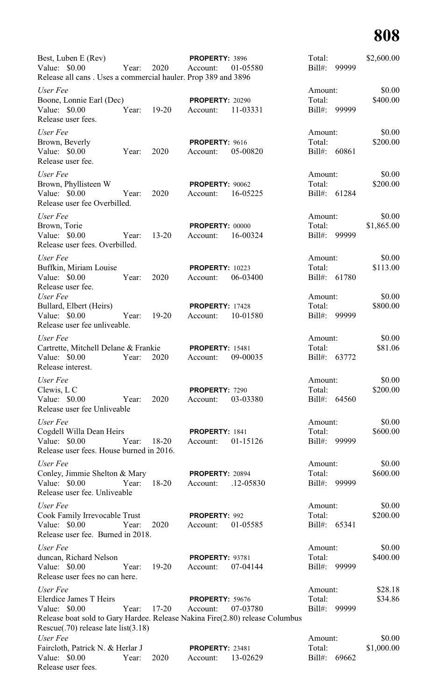| Best, Luben E (Rev)<br>Value: $$0.00$<br>Release all cans. Uses a commercial hauler. Prop 389 and 3896                                                                           | Year: | 2020      | PROPERTY: 3896<br>Account:         | 01-05580  | Total:<br>$Bill#$ :                 | 99999 | \$2,600.00           |
|----------------------------------------------------------------------------------------------------------------------------------------------------------------------------------|-------|-----------|------------------------------------|-----------|-------------------------------------|-------|----------------------|
| User Fee<br>Boone, Lonnie Earl (Dec)                                                                                                                                             |       |           | <b>PROPERTY: 20290</b>             |           | Amount:<br>Total:                   |       | \$0.00<br>\$400.00   |
| Value: \$0.00<br>Release user fees.                                                                                                                                              | Year: | $19-20$   | Account:                           | 11-03331  | $Bill#$ :                           | 99999 |                      |
| User Fee<br>Brown, Beverly<br>Value: \$0.00<br>Release user fee.                                                                                                                 | Year: | 2020      | PROPERTY: 9616<br>Account:         | 05-00820  | Amount:<br>Total:<br>$Bill#$ :      | 60861 | \$0.00<br>\$200.00   |
| User Fee<br>Brown, Phyllisteen W<br>Value: $$0.00$<br>Release user fee Overbilled.                                                                                               | Year: | 2020      | PROPERTY: 90062<br>Account:        | 16-05225  | Amount:<br>Total:<br>$Bill#$ :      | 61284 | \$0.00<br>\$200.00   |
| User Fee<br>Brown, Torie<br>Value: $$0.00$<br>Release user fees. Overbilled.                                                                                                     | Year: | $13 - 20$ | PROPERTY: 00000<br>Account:        | 16-00324  | Amount:<br>Total:<br>$Bill#$ :      | 99999 | \$0.00<br>\$1,865.00 |
| User Fee<br>Buffkin, Miriam Louise<br>Value: \$0.00                                                                                                                              | Year: | 2020      | <b>PROPERTY: 10223</b><br>Account: | 06-03400  | Amount:<br>Total:<br>$Bill#$ :      | 61780 | \$0.00<br>\$113.00   |
| Release user fee.<br>User Fee<br>Bullard, Elbert (Heirs)<br>Value: $$0.00$<br>Release user fee unliveable.                                                                       | Year: | $19-20$   | <b>PROPERTY: 17428</b><br>Account: | 10-01580  | Amount:<br>Total:<br>$Bill#$ :      | 99999 | \$0.00<br>\$800.00   |
| User Fee<br>Cartrette, Mitchell Delane & Frankie<br>Value: $$0.00$<br>Release interest.                                                                                          | Year: | 2020      | <b>PROPERTY: 15481</b><br>Account: | 09-00035  | Amount:<br>Total:<br>$Bill#$ :      | 63772 | \$0.00<br>\$81.06    |
| User Fee<br>Clewis, L C<br>Value: $$0.00$<br>Release user fee Unliveable                                                                                                         | Year: | 2020      | PROPERTY: 7290<br>Account:         | 03-03380  | Amount:<br>Total:<br>Bill#: $64560$ |       | \$0.00<br>\$200.00   |
| User Fee<br>Cogdell Willa Dean Heirs<br>Value: \$0.00<br>Release user fees. House burned in 2016.                                                                                | Year: | $18 - 20$ | PROPERTY: 1841<br>Account:         | 01-15126  | Amount:<br>Total:<br>$Bill#$ :      | 99999 | \$0.00<br>\$600.00   |
| User Fee<br>Conley, Jimmie Shelton & Mary<br>Value: \$0.00<br>Release user fee. Unliveable                                                                                       | Year: | 18-20     | PROPERTY: 20894<br>Account:        | .12-05830 | Amount:<br>Total:<br>$Bill#$ :      | 99999 | \$0.00<br>\$600.00   |
| User Fee<br>Cook Family Irrevocable Trust<br>Value: \$0.00<br>Release user fee. Burned in 2018.                                                                                  | Year: | 2020      | PROPERTY: 992<br>Account:          | 01-05585  | Amount:<br>Total:<br>Bill#: 65341   |       | \$0.00<br>\$200.00   |
| User Fee<br>duncan, Richard Nelson<br>Value: \$0.00<br>Release user fees no can here.                                                                                            | Year: | $19 - 20$ | <b>PROPERTY: 93781</b><br>Account: | 07-04144  | Amount:<br>Total:<br>$Bill#$ :      | 99999 | \$0.00<br>\$400.00   |
| User Fee<br>Elerdice James T Heirs<br>Value: \$0.00<br>Release boat sold to Gary Hardee. Release Nakina Fire(2.80) release Columbus<br>Rescue $(.70)$ release late list $(3.18)$ | Year: | $17 - 20$ | <b>PROPERTY: 59676</b><br>Account: | 07-03780  | Amount:<br>Total:<br>$Bill#$ :      | 99999 | \$28.18<br>\$34.86   |
| User Fee<br>Faircloth, Patrick N. & Herlar J<br>Value: \$0.00<br>Release user fees.                                                                                              | Year: | 2020      | <b>PROPERTY: 23481</b><br>Account: | 13-02629  | Amount:<br>Total:<br>$Bill#$ :      | 69662 | \$0.00<br>\$1,000.00 |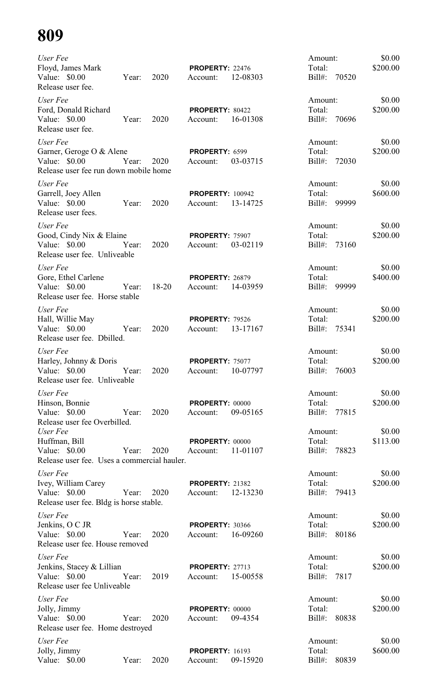| User Fee<br>Floyd, James Mark<br>Value: \$0.00<br>Release user fee.                            | Year: | 2020      | PROPERTY: 22476<br>Account:         | 12-08303 | Amount:<br>Total:<br>Bill#:<br>70520    | \$0.00<br>\$200.00 |
|------------------------------------------------------------------------------------------------|-------|-----------|-------------------------------------|----------|-----------------------------------------|--------------------|
| User Fee<br>Ford, Donald Richard<br>Value: \$0.00<br>Release user fee.                         | Year: | 2020      | PROPERTY: 80422<br>Account:         | 16-01308 | Amount:<br>Total:<br>Bill#: 70696       | \$0.00<br>\$200.00 |
| User Fee<br>Garner, Geroge O & Alene<br>Value: \$0.00<br>Release user fee run down mobile home | Year: | 2020      | PROPERTY: 6599<br>Account:          | 03-03715 | Amount:<br>Total:<br>Bill#: 72030       | \$0.00<br>\$200.00 |
| User Fee<br>Garrell, Joey Allen<br>Value: \$0.00<br>Release user fees.                         | Year: | 2020      | <b>PROPERTY: 100942</b><br>Account: | 13-14725 | Amount:<br>Total:<br>Bill#: 99999       | \$0.00<br>\$600.00 |
| User Fee<br>Good, Cindy Nix & Elaine<br>Value: \$0.00<br>Release user fee. Unliveable          | Year: | 2020      | PROPERTY: 75907<br>Account:         | 03-02119 | Amount:<br>Total:<br>Bill#: 73160       | \$0.00<br>\$200.00 |
| User Fee<br>Gore, Ethel Carlene<br>Value: $$0.00$<br>Release user fee. Horse stable            | Year: | $18 - 20$ | <b>PROPERTY: 26879</b><br>Account:  | 14-03959 | Amount:<br>Total:<br>Bill#:<br>99999    | \$0.00<br>\$400.00 |
| User Fee<br>Hall, Willie May<br>Value: \$0.00<br>Release user fee. Dbilled.                    | Year: | 2020      | <b>PROPERTY: 79526</b><br>Account:  | 13-17167 | Amount:<br>Total:<br>$Bill#$ :<br>75341 | \$0.00<br>\$200.00 |
| User Fee<br>Harley, Johnny & Doris<br>Value: \$0.00<br>Release user fee. Unliveable            | Year: | 2020      | PROPERTY: 75077<br>Account:         | 10-07797 | Amount:<br>Total:<br>$Bill#$ :<br>76003 | \$0.00<br>\$200.00 |
| User Fee<br>Hinson, Bonnie<br>Value: \$0.00<br>Release user fee Overbilled.                    | Year: | 2020      | <b>PROPERTY: 00000</b><br>Account:  | 09-05165 | Amount:<br>Total:<br>$Bill#$ :<br>77815 | \$0.00<br>\$200.00 |
| User Fee<br>Huffman, Bill<br>Value: \$0.00<br>Release user fee. Uses a commercial hauler.      | Year: | 2020      | <b>PROPERTY: 00000</b><br>Account:  | 11-01107 | Amount:<br>Total:<br>$Bill#$ :<br>78823 | \$0.00<br>\$113.00 |
| User Fee<br>Ivey, William Carey<br>Value: \$0.00<br>Release user fee. Bldg is horse stable.    | Year: | 2020      | <b>PROPERTY: 21382</b><br>Account:  | 12-13230 | Amount:<br>Total:<br>$Bill#$ :<br>79413 | \$0.00<br>\$200.00 |
| User Fee<br>Jenkins, O C JR<br>Value: \$0.00<br>Release user fee. House removed                | Year: | 2020      | <b>PROPERTY: 30366</b><br>Account:  | 16-09260 | Amount:<br>Total:<br>Bill#: 80186       | \$0.00<br>\$200.00 |
| User Fee<br>Jenkins, Stacey & Lillian<br>Value: \$0.00<br>Release user fee Unliveable          | Year: | 2019      | <b>PROPERTY: 27713</b><br>Account:  | 15-00558 | Amount:<br>Total:<br>Bill#: 7817        | \$0.00<br>\$200.00 |
| User Fee<br>Jolly, Jimmy<br>Value: \$0.00<br>Release user fee. Home destroyed                  | Year: | 2020      | <b>PROPERTY: 00000</b><br>Account:  | 09-4354  | Amount:<br>Total:<br>Bill#: 80838       | \$0.00<br>\$200.00 |
| User Fee<br>Jolly, Jimmy<br>Value: \$0.00                                                      | Year: | 2020      | <b>PROPERTY: 16193</b><br>Account:  | 09-15920 | Amount:<br>Total:<br>$Bill#$ :<br>80839 | \$0.00<br>\$600.00 |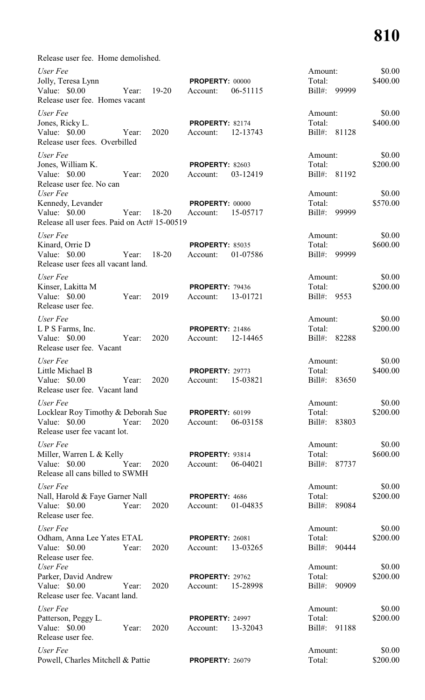Release user fee. Home demolished.

| User Fee<br>Jolly, Teresa Lynn<br>Value: $$0.00$<br>Release user fee. Homes vacant              | Year: | $19 - 20$ | PROPERTY: 00000<br>Account:        | 06-51115 | Amount:<br>Total:<br>Bill#:<br>99999    | \$0.00<br>\$400.00 |
|-------------------------------------------------------------------------------------------------|-------|-----------|------------------------------------|----------|-----------------------------------------|--------------------|
| User Fee<br>Jones, Ricky L.<br>Value: \$0.00<br>Release user fees. Overbilled                   | Year: | 2020      | <b>PROPERTY: 82174</b><br>Account: | 12-13743 | Amount:<br>Total:<br>81128<br>Bill#:    | \$0.00<br>\$400.00 |
| User Fee<br>Jones, William K.<br>Value: $$0.00$<br>Release user fee. No can                     | Year: | 2020      | <b>PROPERTY: 82603</b><br>Account: | 03-12419 | Amount:<br>Total:<br>Bill#:<br>81192    | \$0.00<br>\$200.00 |
| User Fee<br>Kennedy, Levander<br>Value: \$0.00<br>Release all user fees. Paid on Act# 15-00519  | Year: | 18-20     | PROPERTY: 00000<br>Account:        | 15-05717 | Amount:<br>Total:<br>Bill#:<br>99999    | \$0.00<br>\$570.00 |
| User Fee<br>Kinard, Orrie D<br>Value: \$0.00<br>Release user fees all vacant land.              | Year: | $18-20$   | <b>PROPERTY: 85035</b><br>Account: | 01-07586 | Amount:<br>Total:<br>Bill#:<br>99999    | \$0.00<br>\$600.00 |
| User Fee<br>Kinser, Lakitta M<br>Value: \$0.00<br>Release user fee.                             | Year: | 2019      | <b>PROPERTY: 79436</b><br>Account: | 13-01721 | Amount:<br>Total:<br>$Bill#$ :<br>9553  | \$0.00<br>\$200.00 |
| User Fee<br>L P S Farms, Inc.<br>Value: \$0.00<br>Release user fee. Vacant                      | Year: | 2020      | <b>PROPERTY: 21486</b><br>Account: | 12-14465 | Amount:<br>Total:<br>Bill#:<br>82288    | \$0.00<br>\$200.00 |
| User Fee<br>Little Michael B<br>Value: \$0.00<br>Release user fee. Vacant land                  | Year: | 2020      | <b>PROPERTY: 29773</b><br>Account: | 15-03821 | Amount:<br>Total:<br>$Bill#$ :<br>83650 | \$0.00<br>\$400.00 |
| User Fee<br>Locklear Roy Timothy & Deborah Sue<br>Value: \$0.00<br>Release user fee vacant lot. | Year: | 2020      | <b>PROPERTY: 60199</b><br>Account: | 06-03158 | Amount:<br>Total:<br>Bill#:<br>83803    | \$0.00<br>\$200.00 |
| User Fee<br>Miller, Warren L & Kelly<br>Value: \$0.00<br>Release all cans billed to SWMH        | Year: | 2020      | <b>PROPERTY: 93814</b><br>Account: | 06-04021 | Amount:<br>Total:<br>Bill#:<br>87737    | \$0.00<br>\$600.00 |
| User Fee<br>Nall, Harold & Faye Garner Nall<br>Value: \$0.00<br>Release user fee.               | Year: | 2020      | PROPERTY: 4686<br>Account:         | 01-04835 | Amount:<br>Total:<br>Bill#:<br>89084    | \$0.00<br>\$200.00 |
| User Fee<br>Odham, Anna Lee Yates ETAL<br>Value: \$0.00<br>Release user fee.                    | Year: | 2020      | <b>PROPERTY: 26081</b><br>Account: | 13-03265 | Amount:<br>Total:<br>Bill#:<br>90444    | \$0.00<br>\$200.00 |
| User Fee<br>Parker, David Andrew<br>Value: \$0.00<br>Release user fee. Vacant land.             | Year: | 2020      | PROPERTY: 29762<br>Account:        | 15-28998 | Amount:<br>Total:<br>Bill#:<br>90909    | \$0.00<br>\$200.00 |
| User Fee<br>Patterson, Peggy L.<br>Value: $$0.00$<br>Release user fee.                          | Year: | 2020      | <b>PROPERTY: 24997</b><br>Account: | 13-32043 | Amount:<br>Total:<br>Bill#:<br>91188    | \$0.00<br>\$200.00 |
| User Fee<br>Powell, Charles Mitchell & Pattie                                                   |       |           | <b>PROPERTY: 26079</b>             |          | Amount:<br>Total:                       | \$0.00<br>\$200.00 |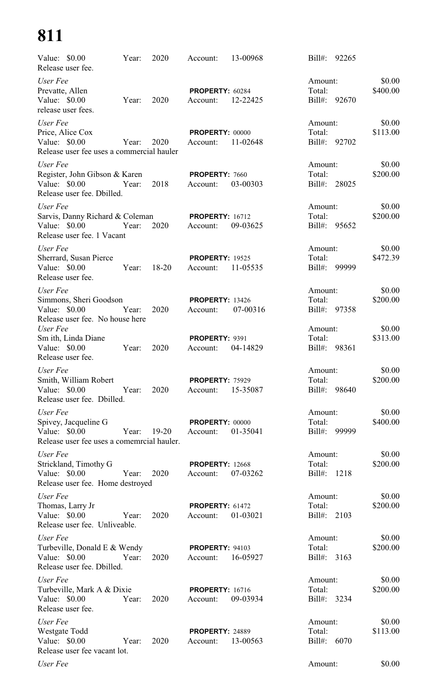| Value: \$0.00<br>Release user fee.                                                              | Year: | 2020        | Account:                           | 13-00968 | 92265<br>$Bill#$ :                      |                    |
|-------------------------------------------------------------------------------------------------|-------|-------------|------------------------------------|----------|-----------------------------------------|--------------------|
| User Fee<br>Prevatte, Allen<br>Value: \$0.00<br>release user fees.                              | Year: | 2020        | PROPERTY: 60284<br>Account:        | 12-22425 | Amount:<br>Total:<br>$Bill#$ :<br>92670 | \$0.00<br>\$400.00 |
| User Fee<br>Price, Alice Cox<br>Value: $$0.00$<br>Release user fee uses a commercial hauler     | Year: | 2020        | PROPERTY: 00000<br>Account:        | 11-02648 | Amount:<br>Total:<br>Bill#: 92702       | \$0.00<br>\$113.00 |
| User Fee<br>Register, John Gibson & Karen<br>Value: \$0.00<br>Release user fee. Dbilled.        | Year: | 2018        | PROPERTY: 7660<br>Account:         | 03-00303 | Amount:<br>Total:<br>Bill#: 28025       | \$0.00<br>\$200.00 |
| User Fee<br>Sarvis, Danny Richard & Coleman<br>Value: \$0.00<br>Release user fee. 1 Vacant      | Year: | 2020        | <b>PROPERTY: 16712</b><br>Account: | 09-03625 | Amount:<br>Total:<br>Bill#: 95652       | \$0.00<br>\$200.00 |
| User Fee<br>Sherrard, Susan Pierce<br>Value: \$0.00<br>Release user fee.                        |       | Year: 18-20 | <b>PROPERTY: 19525</b><br>Account: | 11-05535 | Amount:<br>Total:<br>$Bill#$ :<br>99999 | \$0.00<br>\$472.39 |
| User Fee<br>Simmons, Sheri Goodson<br>Value: \$0.00<br>Release user fee. No house here          | Year: | 2020        | <b>PROPERTY: 13426</b><br>Account: | 07-00316 | Amount:<br>Total:<br>$Bi11#$ :<br>97358 | \$0.00<br>\$200.00 |
| User Fee<br>Sm ith, Linda Diane<br>Value: \$0.00<br>Release user fee.                           | Year: | 2020        | PROPERTY: 9391<br>Account:         | 04-14829 | Amount:<br>Total:<br>Bill#:<br>98361    | \$0.00<br>\$313.00 |
| User Fee<br>Smith, William Robert<br>Value: \$0.00<br>Release user fee. Dbilled.                | Year: | 2020        | <b>PROPERTY: 75929</b><br>Account: | 15-35087 | Amount:<br>Total:<br>Bill#:<br>98640    | \$0.00<br>\$200.00 |
| User Fee<br>Spivey, Jacqueline G<br>Value: \$0.00<br>Release user fee uses a comemrcial hauler. | Year: | $19 - 20$   | <b>PROPERTY: 00000</b><br>Account: | 01-35041 | Amount:<br>Total:<br>99999<br>Bill#:    | \$0.00<br>\$400.00 |
| User Fee<br>Strickland, Timothy G<br>Value: \$0.00<br>Release user fee. Home destroyed          | Year: | 2020        | <b>PROPERTY: 12668</b><br>Account: | 07-03262 | Amount:<br>Total:<br>$Bill#$ :<br>1218  | \$0.00<br>\$200.00 |
| User Fee<br>Thomas, Larry Jr<br>Value: \$0.00<br>Release user fee. Unliveable.                  | Year: | 2020        | <b>PROPERTY: 61472</b><br>Account: | 01-03021 | Amount:<br>Total:<br>Bill#:<br>2103     | \$0.00<br>\$200.00 |
| User Fee<br>Turbeville, Donald E & Wendy<br>Value: \$0.00<br>Release user fee. Dbilled.         | Year: | 2020        | <b>PROPERTY: 94103</b><br>Account: | 16-05927 | Amount:<br>Total:<br>$Bill#$ :<br>3163  | \$0.00<br>\$200.00 |
| User Fee<br>Turbeville, Mark A & Dixie<br>Value: \$0.00<br>Release user fee.                    | Year: | 2020        | <b>PROPERTY: 16716</b><br>Account: | 09-03934 | Amount:<br>Total:<br>$Bill#$ :<br>3234  | \$0.00<br>\$200.00 |
| User Fee<br><b>Westgate Todd</b><br>Value: \$0.00<br>Release user fee vacant lot.               | Year: | 2020        | PROPERTY: 24889<br>Account:        | 13-00563 | Amount:<br>Total:<br>$Bill#$ :<br>6070  | \$0.00<br>\$113.00 |
| User Fee                                                                                        |       |             |                                    |          | Amount:                                 | \$0.00             |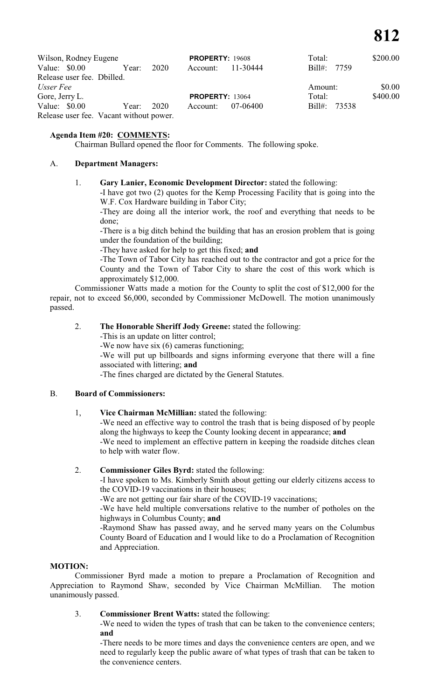| Wilson, Rodney Eugene                   |            |      | <b>PROPERTY: 19608</b> |          | Total:       | \$200.00 |
|-----------------------------------------|------------|------|------------------------|----------|--------------|----------|
| Value: \$0.00                           | Year:      | 2020 | Account:               | 11-30444 | Bill#: 7759  |          |
| Release user fee. Dbilled.              |            |      |                        |          |              |          |
| Usser Fee                               |            |      |                        |          | Amount:      | \$0.00   |
| Gore, Jerry L.                          |            |      | <b>PROPERTY: 13064</b> |          | Total:       | \$400.00 |
| Value: \$0.00                           | Year: 2020 |      | Account:               | 07-06400 | Bill#: 73538 |          |
| Release user fee. Vacant without power. |            |      |                        |          |              |          |

# **Agenda Item #20: COMMENTS:**

Chairman Bullard opened the floor for Comments. The following spoke.

## A. **Department Managers:**

#### 1. **Gary Lanier, Economic Development Director:** stated the following:

-I have got two (2) quotes for the Kemp Processing Facility that is going into the W.F. Cox Hardware building in Tabor City;

-They are doing all the interior work, the roof and everything that needs to be done;

-There is a big ditch behind the building that has an erosion problem that is going under the foundation of the building;

-They have asked for help to get this fixed; **and**

-The Town of Tabor City has reached out to the contractor and got a price for the County and the Town of Tabor City to share the cost of this work which is approximately \$12,000.

Commissioner Watts made a motion for the County to split the cost of \$12,000 for the repair, not to exceed \$6,000, seconded by Commissioner McDowell. The motion unanimously passed.

# 2. **The Honorable Sheriff Jody Greene:** stated the following:

-This is an update on litter control;

-We now have six (6) cameras functioning;

-We will put up billboards and signs informing everyone that there will a fine associated with littering; **and**

-The fines charged are dictated by the General Statutes.

#### B. **Board of Commissioners:**

#### 1, **Vice Chairman McMillian:** stated the following:

-We need an effective way to control the trash that is being disposed of by people along the highways to keep the County looking decent in appearance; **and** -We need to implement an effective pattern in keeping the roadside ditches clean to help with water flow.

# 2. **Commissioner Giles Byrd:** stated the following:

-I have spoken to Ms. Kimberly Smith about getting our elderly citizens access to the COVID-19 vaccinations in their houses;

-We are not getting our fair share of the COVID-19 vaccinations;

-We have held multiple conversations relative to the number of potholes on the highways in Columbus County; **and**

-Raymond Shaw has passed away, and he served many years on the Columbus County Board of Education and I would like to do a Proclamation of Recognition and Appreciation.

#### **MOTION:**

Commissioner Byrd made a motion to prepare a Proclamation of Recognition and Appreciation to Raymond Shaw, seconded by Vice Chairman McMillian. The motion unanimously passed.

# 3. **Commissioner Brent Watts:** stated the following:

-We need to widen the types of trash that can be taken to the convenience centers; **and**

-There needs to be more times and days the convenience centers are open, and we need to regularly keep the public aware of what types of trash that can be taken to the convenience centers.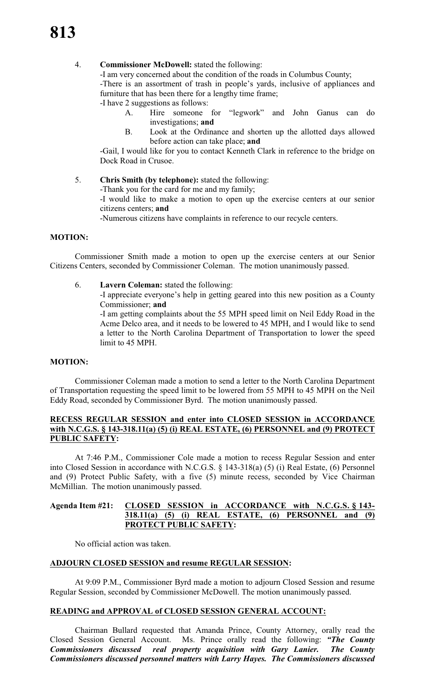### 4. **Commissioner McDowell:** stated the following:

-I am very concerned about the condition of the roads in Columbus County;

-There is an assortment of trash in people's yards, inclusive of appliances and furniture that has been there for a lengthy time frame;

-I have 2 suggestions as follows:

- A. Hire someone for "legwork" and John Ganus can do investigations; **and**
- B. Look at the Ordinance and shorten up the allotted days allowed before action can take place; **and**

-Gail, I would like for you to contact Kenneth Clark in reference to the bridge on Dock Road in Crusoe.

5. **Chris Smith (by telephone):** stated the following:

-Thank you for the card for me and my family;

-I would like to make a motion to open up the exercise centers at our senior citizens centers; **and**

-Numerous citizens have complaints in reference to our recycle centers.

#### **MOTION:**

Commissioner Smith made a motion to open up the exercise centers at our Senior Citizens Centers, seconded by Commissioner Coleman. The motion unanimously passed.

6. **Lavern Coleman:** stated the following:

-I appreciate everyone's help in getting geared into this new position as a County Commissioner; **and**

-I am getting complaints about the 55 MPH speed limit on Neil Eddy Road in the Acme Delco area, and it needs to be lowered to 45 MPH, and I would like to send a letter to the North Carolina Department of Transportation to lower the speed limit to 45 MPH.

#### **MOTION:**

Commissioner Coleman made a motion to send a letter to the North Carolina Department of Transportation requesting the speed limit to be lowered from 55 MPH to 45 MPH on the Neil Eddy Road, seconded by Commissioner Byrd. The motion unanimously passed.

## **RECESS REGULAR SESSION and enter into CLOSED SESSION in ACCORDANCE with N.C.G.S. § 143-318.11(a) (5) (i) REAL ESTATE, (6) PERSONNEL and (9) PROTECT PUBLIC SAFETY:**

At 7:46 P.M., Commissioner Cole made a motion to recess Regular Session and enter into Closed Session in accordance with N.C.G.S. § 143-318(a) (5) (i) Real Estate, (6) Personnel and (9) Protect Public Safety, with a five (5) minute recess, seconded by Vice Chairman McMillian. The motion unanimously passed.

#### **Agenda Item #21: CLOSED SESSION in ACCORDANCE with N.C.G.S. § 143- 318.11(a) (5) (i) REAL ESTATE, (6) PERSONNEL and (9) PROTECT PUBLIC SAFETY:**

No official action was taken.

# **ADJOURN CLOSED SESSION and resume REGULAR SESSION:**

At 9:09 P.M., Commissioner Byrd made a motion to adjourn Closed Session and resume Regular Session, seconded by Commissioner McDowell. The motion unanimously passed.

#### **READING and APPROVAL of CLOSED SESSION GENERAL ACCOUNT:**

Chairman Bullard requested that Amanda Prince, County Attorney, orally read the Closed Session General Account. Ms. Prince orally read the following: *"The County Commissioners discussed real property acquisition with Gary Lanier. The County Commissioners discussed personnel matters with Larry Hayes. The Commissioners discussed*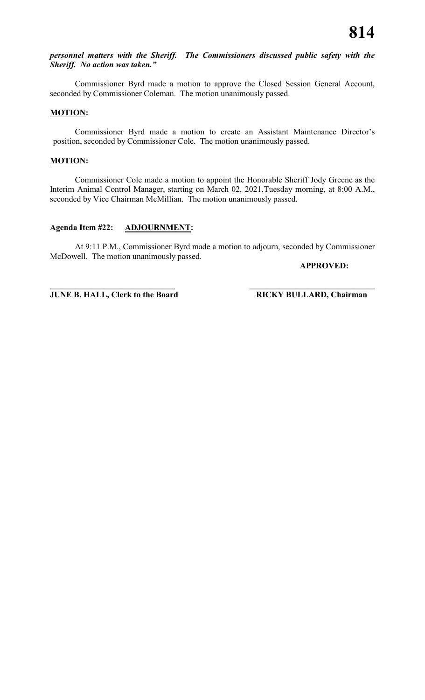# *personnel matters with the Sheriff. The Commissioners discussed public safety with the Sheriff. No action was taken."*

Commissioner Byrd made a motion to approve the Closed Session General Account, seconded by Commissioner Coleman. The motion unanimously passed.

#### **MOTION:**

Commissioner Byrd made a motion to create an Assistant Maintenance Director's position, seconded by Commissioner Cole. The motion unanimously passed.

#### **MOTION:**

Commissioner Cole made a motion to appoint the Honorable Sheriff Jody Greene as the Interim Animal Control Manager, starting on March 02, 2021,Tuesday morning, at 8:00 A.M., seconded by Vice Chairman McMillian. The motion unanimously passed.

# **Agenda Item #22: ADJOURNMENT:**

At 9:11 P.M., Commissioner Byrd made a motion to adjourn, seconded by Commissioner McDowell. The motion unanimously passed.

#### **APPROVED:**

**\_\_\_\_\_\_\_\_\_\_\_\_\_\_\_\_\_\_\_\_\_\_\_\_\_\_\_\_\_\_ \_\_\_\_\_\_\_\_\_\_\_\_\_\_\_\_\_\_\_\_\_\_\_\_\_\_\_\_\_\_ JUNE B. HALL, Clerk to the Board RICKY BULLARD, Chairman**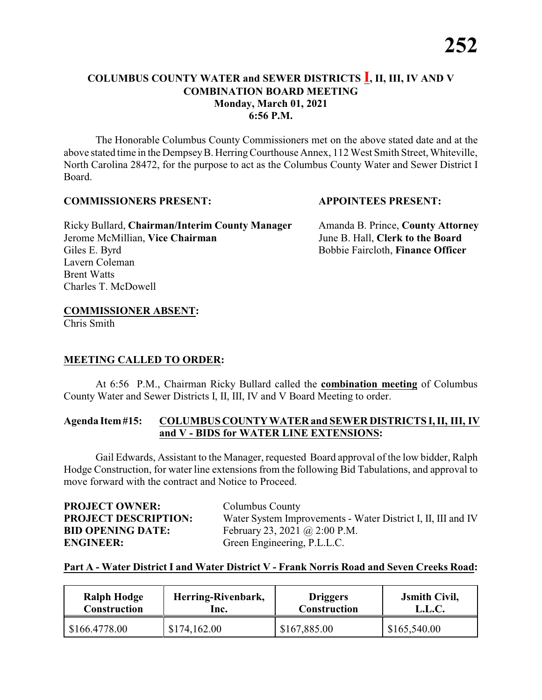## **COLUMBUS COUNTY WATER and SEWER DISTRICTS I, II, III, IV AND V COMBINATION BOARD MEETING Monday, March 01, 2021 6:56 P.M.**

The Honorable Columbus County Commissioners met on the above stated date and at the above stated time in the DempseyB. HerringCourthouse Annex, 112 West Smith Street, Whiteville, North Carolina 28472, for the purpose to act as the Columbus County Water and Sewer District I Board.

#### **COMMISSIONERS PRESENT: APPOINTEES PRESENT:**

Ricky Bullard, **Chairman/Interim County Manager** Amanda B. Prince, **County Attorney** Jerome McMillian, **Vice Chairman** June B. Hall, **Clerk to the Board** Giles E. Byrd Bobbie Faircloth, **Finance Officer** Lavern Coleman Brent Watts Charles T. McDowell

# **COMMISSIONER ABSENT:**

Chris Smith

### **MEETING CALLED TO ORDER:**

At 6:56 P.M., Chairman Ricky Bullard called the **combination meeting** of Columbus County Water and Sewer Districts I, II, III, IV and V Board Meeting to order.

#### **Agenda Item#15: COLUMBUS COUNTYWATER and SEWER DISTRICTS I, II, III, IV and V - BIDS for WATER LINE EXTENSIONS:**

Gail Edwards, Assistant to the Manager, requested Board approval of the low bidder, Ralph Hodge Construction, for water line extensions from the following Bid Tabulations, and approval to move forward with the contract and Notice to Proceed.

| <b>PROJECT OWNER:</b>       | Columbus County                                              |
|-----------------------------|--------------------------------------------------------------|
| <b>PROJECT DESCRIPTION:</b> | Water System Improvements - Water District I, II, III and IV |
| <b>BID OPENING DATE:</b>    | February 23, 2021 @ 2:00 P.M.                                |
| <b>ENGINEER:</b>            | Green Engineering, P.L.L.C.                                  |

### **Part A - Water District I and Water District V - Frank Norris Road and Seven Creeks Road:**

| <b>Ralph Hodge</b> | Herring-Rivenbark, | <b>Driggers</b>     | <b>J</b> smith Civil, |
|--------------------|--------------------|---------------------|-----------------------|
| Construction       | lnc.               | <b>Construction</b> | L.L.C.                |
| \$166.4778.00      | \$174,162.00       | \$167,885.00        | \$165,540.00          |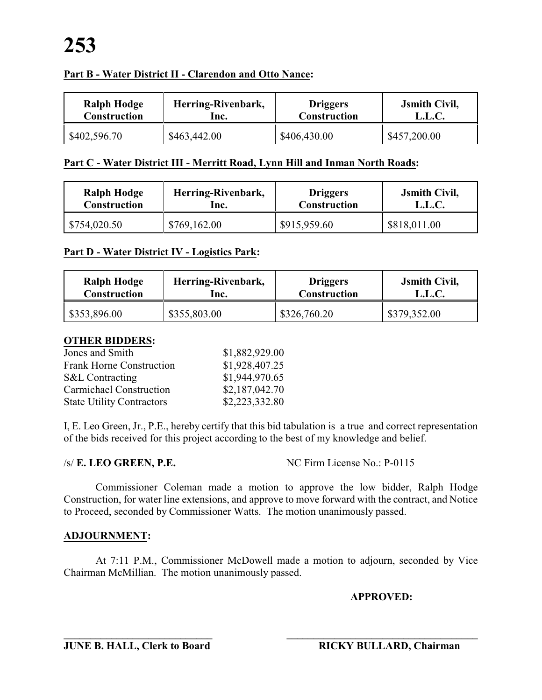### **Part B - Water District II - Clarendon and Otto Nance:**

| <b>Ralph Hodge</b>  | Herring-Rivenbark, | <b>Driggers</b>     | <b>J</b> smith Civil, |
|---------------------|--------------------|---------------------|-----------------------|
| <b>Construction</b> | lnc.               | <b>Construction</b> | L.L.C.                |
| \$402,596.70        | \$463,442.00       | \$406,430.00        | \$457,200.00          |

### **Part C - Water District III - Merritt Road, Lynn Hill and Inman North Roads:**

| <b>Ralph Hodge</b>  | Herring-Rivenbark, | <b>Driggers</b> | <b>J</b> smith Civil, |
|---------------------|--------------------|-----------------|-----------------------|
| <b>Construction</b> | lnc.               | Construction    | L.L.C.                |
| \$754,020.50        | \$769,162.00       | \$915,959.60    | \$818,011.00          |

### **Part D - Water District IV - Logistics Park:**

| <b>Ralph Hodge</b>  | Herring-Rivenbark, | <b>Driggers</b>     | <b>Jsmith Civil,</b> |
|---------------------|--------------------|---------------------|----------------------|
| <b>Construction</b> | lnc.               | <b>Construction</b> | L.L.C.               |
| \$353,896.00        | \$355,803.00       | \$326,760.20        | \$379,352.00         |

#### **OTHER BIDDERS:**

| Jones and Smith                  | \$1,882,929.00 |
|----------------------------------|----------------|
| <b>Frank Horne Construction</b>  | \$1,928,407.25 |
| <b>S&amp;L</b> Contracting       | \$1,944,970.65 |
| <b>Carmichael Construction</b>   | \$2,187,042.70 |
| <b>State Utility Contractors</b> | \$2,223,332.80 |

I, E. Leo Green, Jr., P.E., hereby certify that this bid tabulation is a true and correct representation of the bids received for this project according to the best of my knowledge and belief.

/s/ **E. LEO GREEN, P.E.** NC Firm License No.: P-0115

Commissioner Coleman made a motion to approve the low bidder, Ralph Hodge Construction, for water line extensions, and approve to move forward with the contract, and Notice to Proceed, seconded by Commissioner Watts. The motion unanimously passed.

# **ADJOURNMENT:**

At 7:11 P.M., Commissioner McDowell made a motion to adjourn, seconded by Vice Chairman McMillian. The motion unanimously passed.

# **APPROVED:**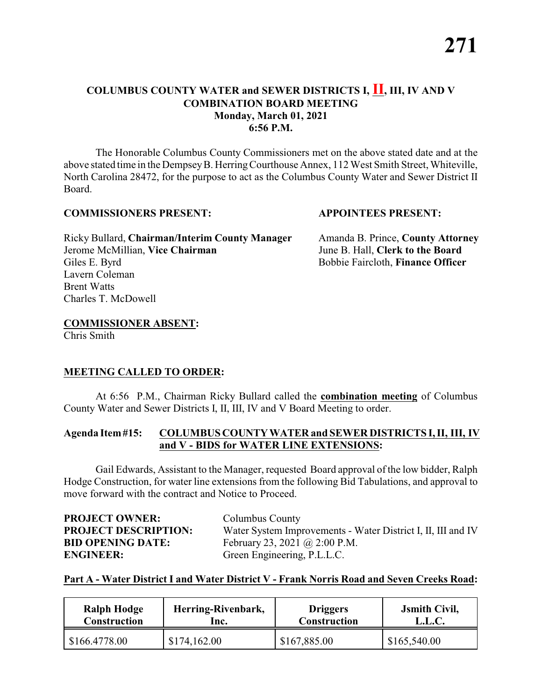### **COLUMBUS COUNTY WATER and SEWER DISTRICTS I, II, III, IV AND V COMBINATION BOARD MEETING Monday, March 01, 2021 6:56 P.M.**

The Honorable Columbus County Commissioners met on the above stated date and at the above stated time in the DempseyB. HerringCourthouse Annex, 112 West Smith Street, Whiteville, North Carolina 28472, for the purpose to act as the Columbus County Water and Sewer District II Board.

#### **COMMISSIONERS PRESENT: APPOINTEES PRESENT:**

Ricky Bullard, **Chairman/Interim County Manager** Amanda B. Prince, **County Attorney** Jerome McMillian, **Vice Chairman** June B. Hall, **Clerk to the Board** Giles E. Byrd Bobbie Faircloth, **Finance Officer** Lavern Coleman Brent Watts Charles T. McDowell

# **COMMISSIONER ABSENT:**

Chris Smith

# **MEETING CALLED TO ORDER:**

At 6:56 P.M., Chairman Ricky Bullard called the **combination meeting** of Columbus County Water and Sewer Districts I, II, III, IV and V Board Meeting to order.

### **Agenda Item#15: COLUMBUS COUNTYWATER and SEWER DISTRICTS I, II, III, IV and V - BIDS for WATER LINE EXTENSIONS:**

Gail Edwards, Assistant to the Manager, requested Board approval of the low bidder, Ralph Hodge Construction, for water line extensions from the following Bid Tabulations, and approval to move forward with the contract and Notice to Proceed.

| <b>PROJECT OWNER:</b>       | Columbus County                                              |
|-----------------------------|--------------------------------------------------------------|
| <b>PROJECT DESCRIPTION:</b> | Water System Improvements - Water District I, II, III and IV |
| <b>BID OPENING DATE:</b>    | February 23, 2021 @ 2:00 P.M.                                |
| <b>ENGINEER:</b>            | Green Engineering, P.L.L.C.                                  |

### **Part A - Water District I and Water District V - Frank Norris Road and Seven Creeks Road:**

| Ralph Hodge         | Herring-Rivenbark, | <b>Driggers</b>     | <b>Jsmith Civil,</b> |
|---------------------|--------------------|---------------------|----------------------|
| <b>Construction</b> | lnc.               | <b>Construction</b> | L.L.C.               |
| \$166.4778.00       | \$174,162.00       | \$167,885.00        | \$165,540.00         |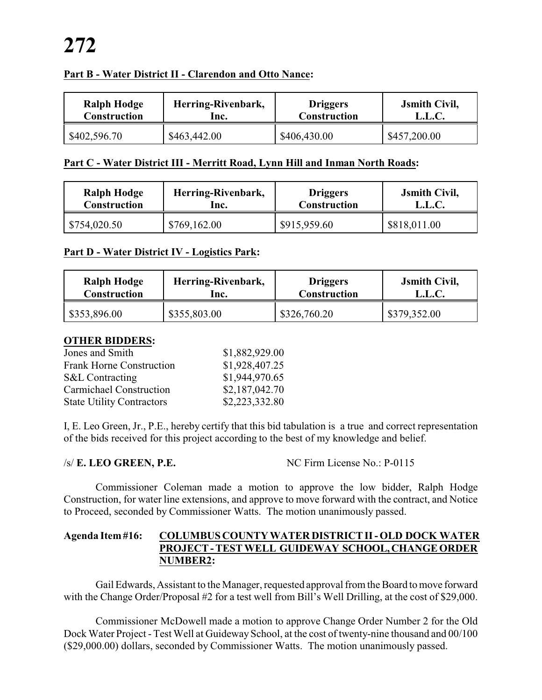#### **Part B - Water District II - Clarendon and Otto Nance:**

| <b>Ralph Hodge</b>  | Herring-Rivenbark, | <b>Driggers</b>     | <b>J</b> smith Civil, |
|---------------------|--------------------|---------------------|-----------------------|
| <b>Construction</b> | lnc.               | <b>Construction</b> | L.L.C.                |
| \$402,596.70        | \$463,442.00       | \$406,430.00        | \$457,200.00          |

#### **Part C - Water District III - Merritt Road, Lynn Hill and Inman North Roads:**

| <b>Ralph Hodge</b>  | Herring-Rivenbark, | <b>Driggers</b> | <b>Jsmith Civil,</b> |
|---------------------|--------------------|-----------------|----------------------|
| <b>Construction</b> | Inc.               | Construction    | L.L.C.               |
| \$754,020.50        | \$769,162.00       | \$915,959.60    | \$818,011.00         |

#### **Part D - Water District IV - Logistics Park:**

| <b>Ralph Hodge</b>  | Herring-Rivenbark, | <b>Driggers</b>     | <b>Jsmith Civil,</b> |
|---------------------|--------------------|---------------------|----------------------|
| <b>Construction</b> | lnc.               | <b>Construction</b> | L.L.C.               |
| \$353,896.00        | \$355,803.00       | \$326,760.20        | \$379,352.00         |

#### **OTHER BIDDERS:**

| Jones and Smith                  | \$1,882,929.00 |
|----------------------------------|----------------|
| <b>Frank Horne Construction</b>  | \$1,928,407.25 |
| <b>S&amp;L</b> Contracting       | \$1,944,970.65 |
| <b>Carmichael Construction</b>   | \$2,187,042.70 |
| <b>State Utility Contractors</b> | \$2,223,332.80 |

I, E. Leo Green, Jr., P.E., hereby certify that this bid tabulation is a true and correct representation of the bids received for this project according to the best of my knowledge and belief.

/s/ **E. LEO GREEN, P.E.** NC Firm License No.: P-0115

Commissioner Coleman made a motion to approve the low bidder, Ralph Hodge Construction, for water line extensions, and approve to move forward with the contract, and Notice to Proceed, seconded by Commissioner Watts. The motion unanimously passed.

#### **Agenda Item #16: COLUMBUS COUNTY WATER DISTRICT II -OLD DOCK WATER PROJECT - TEST WELL GUIDEWAY SCHOOL,CHANGE ORDER NUMBER2:**

Gail Edwards, Assistant to the Manager, requested approval from the Board to move forward with the Change Order/Proposal #2 for a test well from Bill's Well Drilling, at the cost of \$29,000.

Commissioner McDowell made a motion to approve Change Order Number 2 for the Old Dock Water Project - Test Well at Guideway School, at the cost of twenty-nine thousand and 00/100 (\$29,000.00) dollars, seconded by Commissioner Watts. The motion unanimously passed.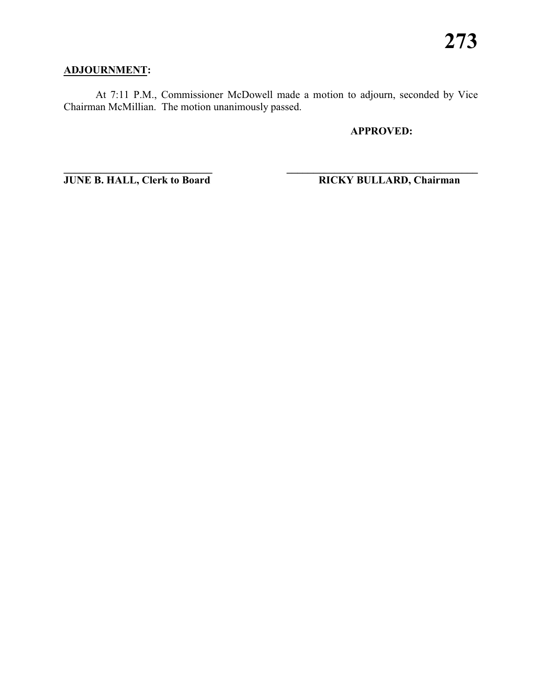# **ADJOURNMENT:**

At 7:11 P.M., Commissioner McDowell made a motion to adjourn, seconded by Vice Chairman McMillian. The motion unanimously passed.

**\_\_\_\_\_\_\_\_\_\_\_\_\_\_\_\_\_\_\_\_\_\_\_\_\_\_\_\_ \_\_\_\_\_\_\_\_\_\_\_\_\_\_\_\_\_\_\_\_\_\_\_\_\_\_\_\_\_\_\_\_\_\_\_\_**

**APPROVED:**

**JUNE B. HALL, Clerk to Board RICKY BULLARD, Chairman**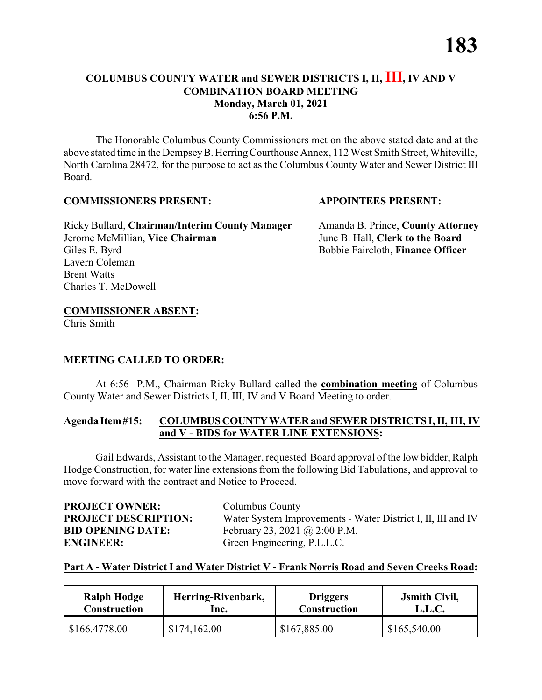## **COLUMBUS COUNTY WATER and SEWER DISTRICTS I, II, III, IV AND V COMBINATION BOARD MEETING Monday, March 01, 2021 6:56 P.M.**

The Honorable Columbus County Commissioners met on the above stated date and at the above stated time in the DempseyB. HerringCourthouse Annex, 112 West Smith Street, Whiteville, North Carolina 28472, for the purpose to act as the Columbus County Water and Sewer District III Board.

### **COMMISSIONERS PRESENT: APPOINTEES PRESENT:**

Ricky Bullard, **Chairman/Interim County Manager** Amanda B. Prince, **County Attorney** Jerome McMillian, **Vice Chairman** June B. Hall, **Clerk to the Board** Giles E. Byrd Bobbie Faircloth, **Finance Officer** Lavern Coleman Brent Watts Charles T. McDowell

# **COMMISSIONER ABSENT:**

Chris Smith

### **MEETING CALLED TO ORDER:**

At 6:56 P.M., Chairman Ricky Bullard called the **combination meeting** of Columbus County Water and Sewer Districts I, II, III, IV and V Board Meeting to order.

#### **Agenda Item#15: COLUMBUS COUNTYWATER and SEWER DISTRICTS I, II, III, IV and V - BIDS for WATER LINE EXTENSIONS:**

Gail Edwards, Assistant to the Manager, requested Board approval of the low bidder, Ralph Hodge Construction, for water line extensions from the following Bid Tabulations, and approval to move forward with the contract and Notice to Proceed.

| <b>PROJECT OWNER:</b>       | Columbus County                                              |
|-----------------------------|--------------------------------------------------------------|
| <b>PROJECT DESCRIPTION:</b> | Water System Improvements - Water District I, II, III and IV |
| <b>BID OPENING DATE:</b>    | February 23, 2021 @ 2:00 P.M.                                |
| <b>ENGINEER:</b>            | Green Engineering, P.L.L.C.                                  |

### **Part A - Water District I and Water District V - Frank Norris Road and Seven Creeks Road:**

| <b>Ralph Hodge</b> | Herring-Rivenbark, | <b>Driggers</b>     | <b>J</b> smith Civil, |
|--------------------|--------------------|---------------------|-----------------------|
| Construction       | lnc.               | <b>Construction</b> | L.L.C.                |
| \$166.4778.00      | \$174,162.00       | \$167,885.00        | \$165,540.00          |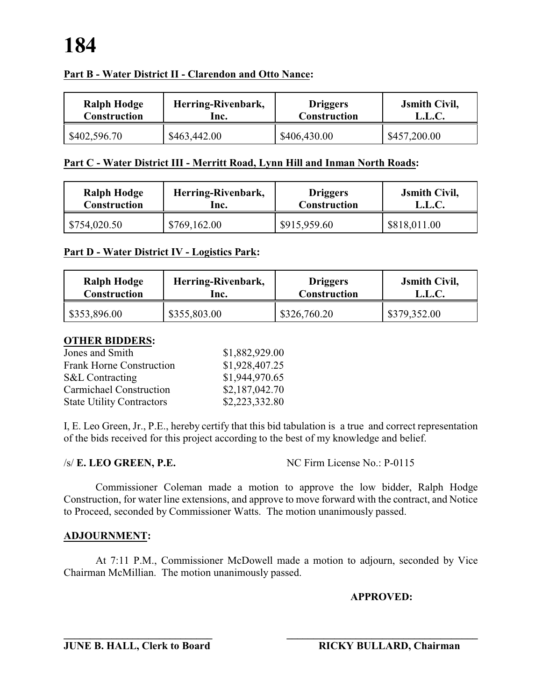## **Part B - Water District II - Clarendon and Otto Nance:**

| Ralph Hodge         | Herring-Rivenbark, | <b>Driggers</b>     | <b>Jsmith Civil,</b> |
|---------------------|--------------------|---------------------|----------------------|
| <b>Construction</b> | lnc.               | <b>Construction</b> | L.L.C.               |
| \$402,596.70        | \$463,442.00       | \$406,430.00        | \$457,200.00         |

### **Part C - Water District III - Merritt Road, Lynn Hill and Inman North Roads:**

| <b>Ralph Hodge</b>  | Herring-Rivenbark, | <b>Driggers</b> | <b>J</b> smith Civil, |
|---------------------|--------------------|-----------------|-----------------------|
| <b>Construction</b> | lnc.               | Construction    | L.L.C.                |
| \$754,020.50        | \$769,162.00       | \$915,959.60    | \$818,011.00          |

#### **Part D - Water District IV - Logistics Park:**

| <b>Ralph Hodge</b>  | Herring-Rivenbark, | <b>Driggers</b>     | <b>Jsmith Civil,</b> |
|---------------------|--------------------|---------------------|----------------------|
| <b>Construction</b> | lnc.               | <b>Construction</b> | L.L.C.               |
| \$353,896.00        | \$355,803.00       | \$326,760.20        | \$379,352.00         |

#### **OTHER BIDDERS:**

| Jones and Smith                  | \$1,882,929.00 |
|----------------------------------|----------------|
| <b>Frank Horne Construction</b>  | \$1,928,407.25 |
| <b>S&amp;L</b> Contracting       | \$1,944,970.65 |
| <b>Carmichael Construction</b>   | \$2,187,042.70 |
| <b>State Utility Contractors</b> | \$2,223,332.80 |

I, E. Leo Green, Jr., P.E., hereby certify that this bid tabulation is a true and correct representation of the bids received for this project according to the best of my knowledge and belief.

/s/ **E. LEO GREEN, P.E.** NC Firm License No.: P-0115

Commissioner Coleman made a motion to approve the low bidder, Ralph Hodge Construction, for water line extensions, and approve to move forward with the contract, and Notice to Proceed, seconded by Commissioner Watts. The motion unanimously passed.

#### **ADJOURNMENT:**

At 7:11 P.M., Commissioner McDowell made a motion to adjourn, seconded by Vice Chairman McMillian. The motion unanimously passed.

#### **APPROVED:**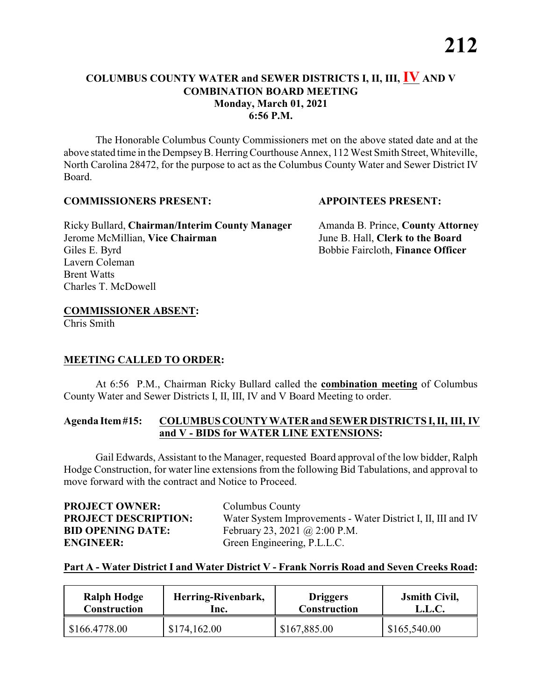## **COLUMBUS COUNTY WATER and SEWER DISTRICTS I, II, III, IV AND V COMBINATION BOARD MEETING Monday, March 01, 2021 6:56 P.M.**

The Honorable Columbus County Commissioners met on the above stated date and at the above stated time in the DempseyB. HerringCourthouse Annex, 112 West Smith Street, Whiteville, North Carolina 28472, for the purpose to act as the Columbus County Water and Sewer District IV Board.

### **COMMISSIONERS PRESENT: APPOINTEES PRESENT:**

Ricky Bullard, **Chairman/Interim County Manager** Amanda B. Prince, **County Attorney** Jerome McMillian, **Vice Chairman** June B. Hall, **Clerk to the Board** Giles E. Byrd Bobbie Faircloth, **Finance Officer** Lavern Coleman Brent Watts Charles T. McDowell

# **COMMISSIONER ABSENT:**

Chris Smith

### **MEETING CALLED TO ORDER:**

At 6:56 P.M., Chairman Ricky Bullard called the **combination meeting** of Columbus County Water and Sewer Districts I, II, III, IV and V Board Meeting to order.

#### **Agenda Item#15: COLUMBUS COUNTYWATER and SEWER DISTRICTS I, II, III, IV and V - BIDS for WATER LINE EXTENSIONS:**

Gail Edwards, Assistant to the Manager, requested Board approval of the low bidder, Ralph Hodge Construction, for water line extensions from the following Bid Tabulations, and approval to move forward with the contract and Notice to Proceed.

| <b>PROJECT OWNER:</b>       | Columbus County                                              |
|-----------------------------|--------------------------------------------------------------|
| <b>PROJECT DESCRIPTION:</b> | Water System Improvements - Water District I, II, III and IV |
| <b>BID OPENING DATE:</b>    | February 23, 2021 @ 2:00 P.M.                                |
| <b>ENGINEER:</b>            | Green Engineering, P.L.L.C.                                  |

### **Part A - Water District I and Water District V - Frank Norris Road and Seven Creeks Road:**

| <b>Ralph Hodge</b> | Herring-Rivenbark, | <b>Driggers</b>     | <b>J</b> smith Civil, |
|--------------------|--------------------|---------------------|-----------------------|
| Construction       | lnc.               | <b>Construction</b> | L.L.C.                |
| \$166.4778.00      | \$174,162.00       | \$167,885.00        | \$165,540.00          |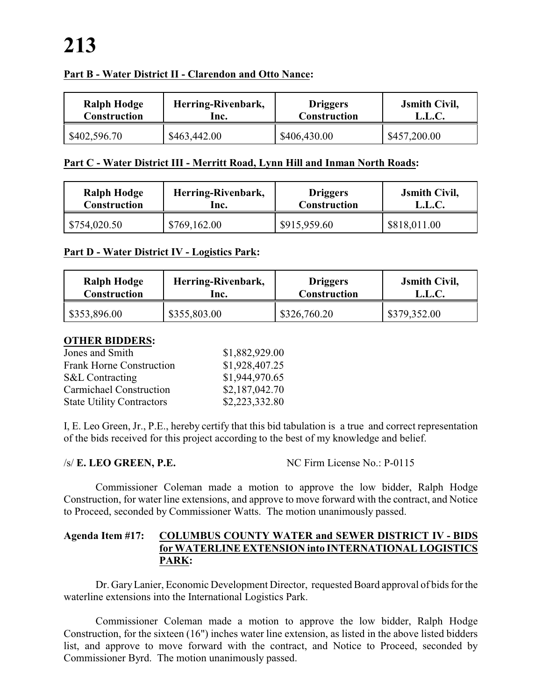### **Part B - Water District II - Clarendon and Otto Nance:**

| <b>Ralph Hodge</b>  | Herring-Rivenbark, | <b>Driggers</b>     | <b>J</b> smith Civil, |
|---------------------|--------------------|---------------------|-----------------------|
| <b>Construction</b> | lnc.               | <b>Construction</b> | L.L.C.                |
| \$402,596.70        | \$463,442.00       | \$406,430.00        | \$457,200.00          |

#### **Part C - Water District III - Merritt Road, Lynn Hill and Inman North Roads:**

| <b>Ralph Hodge</b> | Herring-Rivenbark, | <b>Driggers</b> | <b>Jsmith Civil,</b> |
|--------------------|--------------------|-----------------|----------------------|
| Construction       | lnc.               | Construction    | L.L.C.               |
| \$754,020.50       | \$769,162.00       | \$915,959.60    | \$818,011.00         |

#### **Part D - Water District IV - Logistics Park:**

| <b>Ralph Hodge</b>  | Herring-Rivenbark, | <b>Driggers</b>     | <b>Jsmith Civil,</b> |
|---------------------|--------------------|---------------------|----------------------|
| <b>Construction</b> | lnc.               | <b>Construction</b> | L.L.C.               |
| \$353,896.00        | \$355,803.00       | \$326,760.20        | \$379,352.00         |

#### **OTHER BIDDERS:**

| Jones and Smith                  | \$1,882,929.00 |
|----------------------------------|----------------|
| <b>Frank Horne Construction</b>  | \$1,928,407.25 |
| <b>S&amp;L</b> Contracting       | \$1,944,970.65 |
| <b>Carmichael Construction</b>   | \$2,187,042.70 |
| <b>State Utility Contractors</b> | \$2,223,332.80 |

I, E. Leo Green, Jr., P.E., hereby certify that this bid tabulation is a true and correct representation of the bids received for this project according to the best of my knowledge and belief.

/s/ **E. LEO GREEN, P.E.** NC Firm License No.: P-0115

Commissioner Coleman made a motion to approve the low bidder, Ralph Hodge Construction, for water line extensions, and approve to move forward with the contract, and Notice to Proceed, seconded by Commissioner Watts. The motion unanimously passed.

#### **Agenda Item #17: COLUMBUS COUNTY WATER and SEWER DISTRICT IV - BIDS for WATERLINE EXTENSION into INTERNATIONAL LOGISTICS PARK:**

Dr. GaryLanier, Economic Development Director, requested Board approval of bids for the waterline extensions into the International Logistics Park.

Commissioner Coleman made a motion to approve the low bidder, Ralph Hodge Construction, for the sixteen (16") inches water line extension, as listed in the above listed bidders list, and approve to move forward with the contract, and Notice to Proceed, seconded by Commissioner Byrd. The motion unanimously passed.